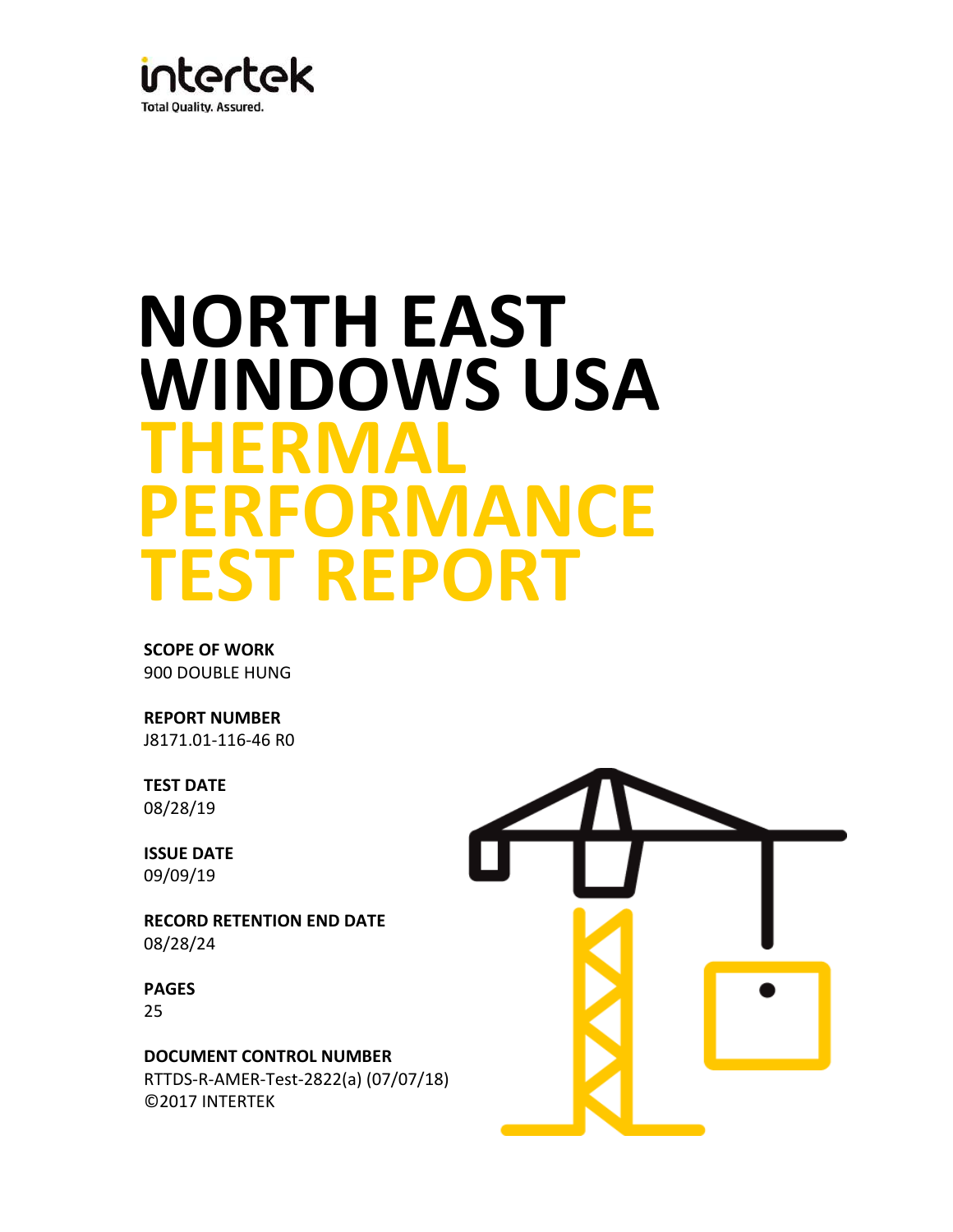

# **PERFORMANCE TEST REPORT WINDOWS USA THERMAL NORTH EAST**

**SCOPE OF WORK** 900 DOUBLE HUNG

**REPORT NUMBER** J8171.01-116-46 R0

**TEST DATE** 08/28/19

**ISSUE DATE** 09/09/19

**RECORD RETENTION END DATE** 08/28/24

25 **PAGES**

**DOCUMENT CONTROL NUMBER** ©2017 INTERTEK RTTDS-R-AMER-Test-2822(a) (07/07/18)

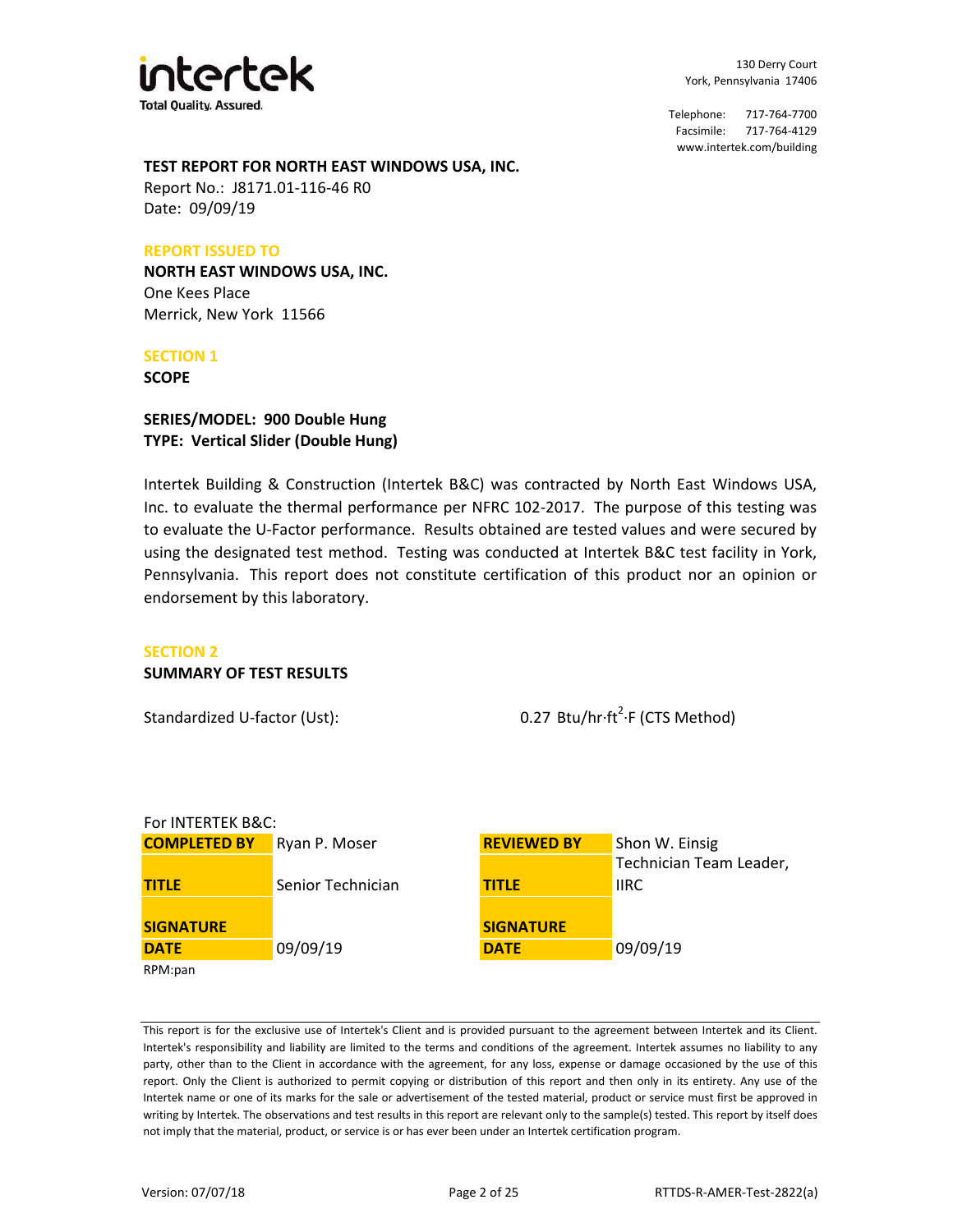

# **TEST REPORT FOR NORTH EAST WINDOWS USA, INC.**

Date: 09/09/19 Report No.: J8171.01-116-46 R0

#### **REPORT ISSUED TO**

**NORTH EAST WINDOWS USA, INC.** One Kees Place Merrick, New York 11566

#### **SECTION 1**

**SCOPE**

## **TYPE: Vertical Slider (Double Hung) SERIES/MODEL: 900 Double Hung**

Intertek Building & Construction (Intertek B&C) was contracted by North East Windows USA, Inc. to evaluate the thermal performance per NFRC 102-2017. The purpose of this testing was to evaluate the U-Factor performance. Results obtained are tested values and were secured by using the designated test method. Testing was conducted at Intertek B&C test facility in York, Pennsylvania. This report does not constitute certification of this product nor an opinion or endorsement by this laboratory.

#### **SECTION 2**

#### **SUMMARY OF TEST RESULTS**

Standardized U-factor (Ust):

0.27 Btu/hr·ft<sup>2</sup>·F (CTS Method)

| For INTERTEK B&C:   |                   |                    |                         |  |  |
|---------------------|-------------------|--------------------|-------------------------|--|--|
| <b>COMPLETED BY</b> | Ryan P. Moser     | <b>REVIEWED BY</b> | Shon W. Einsig          |  |  |
|                     |                   |                    | Technician Team Leader, |  |  |
| <b>TITLE</b>        | Senior Technician | <b>TITLE</b>       | <b>IIRC</b>             |  |  |
|                     |                   |                    |                         |  |  |
| <b>SIGNATURE</b>    |                   | <b>SIGNATURE</b>   |                         |  |  |
| <b>DATE</b>         | 09/09/19          | <b>DATE</b>        | 09/09/19                |  |  |
| RPM:pan             |                   |                    |                         |  |  |

This report is for the exclusive use of Intertek's Client and is provided pursuant to the agreement between Intertek and its Client. Intertek's responsibility and liability are limited to the terms and conditions of the agreement. Intertek assumes no liability to any party, other than to the Client in accordance with the agreement, for any loss, expense or damage occasioned by the use of this report. Only the Client is authorized to permit copying or distribution of this report and then only in its entirety. Any use of the Intertek name or one of its marks for the sale or advertisement of the tested material, product or service must first be approved in writing by Intertek. The observations and test results in this report are relevant only to the sample(s) tested. This report by itself does not imply that the material, product, or service is or has ever been under an Intertek certification program.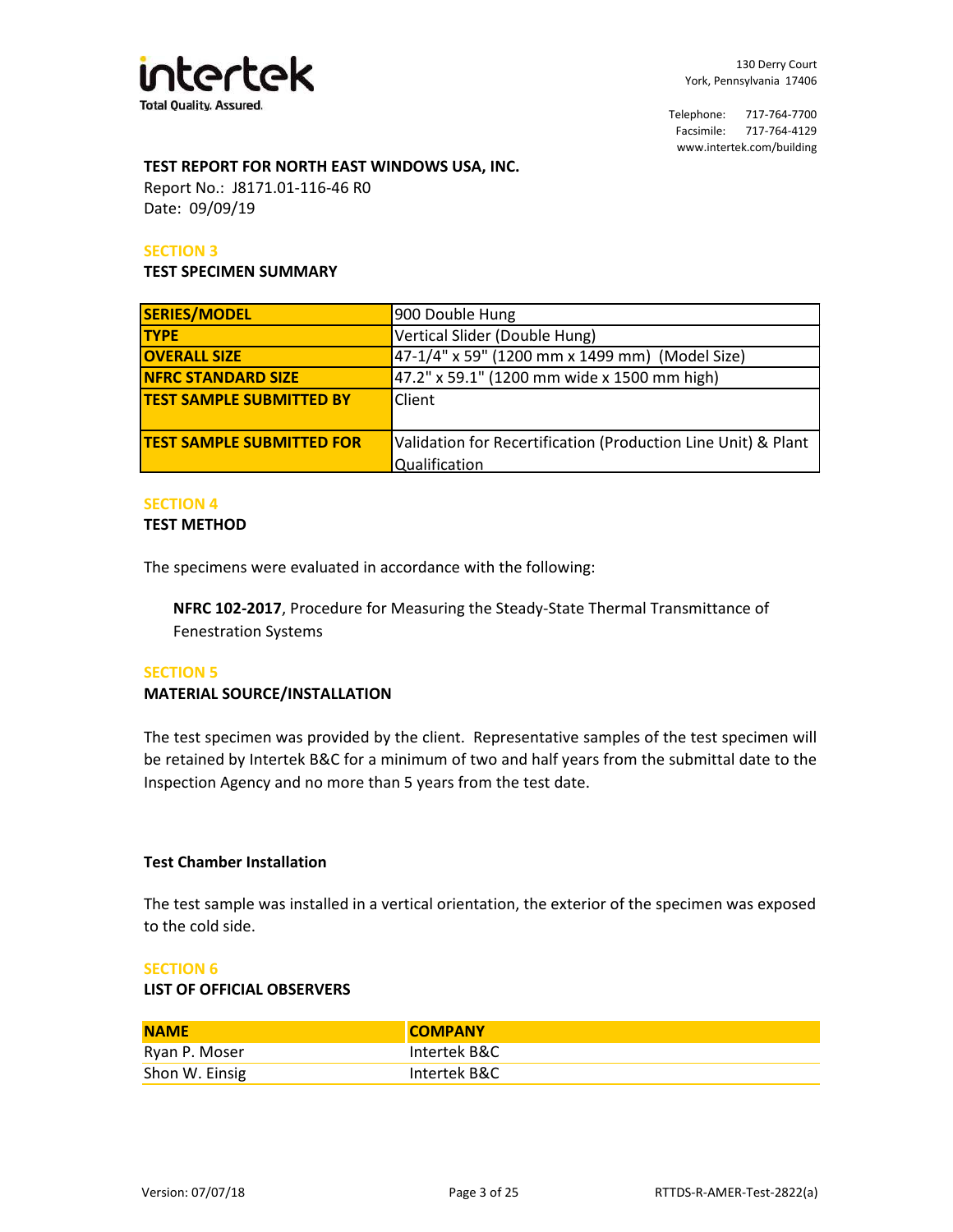

# **TEST REPORT FOR NORTH EAST WINDOWS USA, INC.**

Date: 09/09/19 Report No.: J8171.01-116-46 R0

## **SECTION 3**

#### **TEST SPECIMEN SUMMARY**

| <b>SERIES/MODEL</b>                                                                               | 900 Double Hung                                |  |
|---------------------------------------------------------------------------------------------------|------------------------------------------------|--|
| <b>TYPE</b>                                                                                       | Vertical Slider (Double Hung)                  |  |
| <b>OVERALL SIZE</b>                                                                               | 47-1/4" x 59" (1200 mm x 1499 mm) (Model Size) |  |
| <b>NFRC STANDARD SIZE</b>                                                                         | 47.2" x 59.1" (1200 mm wide x 1500 mm high)    |  |
| <b>TEST SAMPLE SUBMITTED BY</b>                                                                   | Client                                         |  |
|                                                                                                   |                                                |  |
| Validation for Recertification (Production Line Unit) & Plant<br><b>TEST SAMPLE SUBMITTED FOR</b> |                                                |  |
|                                                                                                   | Qualification                                  |  |

## **SECTION 4**

#### **TEST METHOD**

The specimens were evaluated in accordance with the following:

**NFRC 102-2017**, Procedure for Measuring the Steady-State Thermal Transmittance of Fenestration Systems

#### **SECTION 5**

#### **MATERIAL SOURCE/INSTALLATION**

The test specimen was provided by the client. Representative samples of the test specimen will be retained by Intertek B&C for a minimum of two and half years from the submittal date to the Inspection Agency and no more than 5 years from the test date.

#### **Test Chamber Installation**

The test sample was installed in a vertical orientation, the exterior of the specimen was exposed to the cold side.

#### **SECTION 6**

#### **LIST OF OFFICIAL OBSERVERS**

| <b>NAME</b>    | <b>COMPANY</b> |
|----------------|----------------|
| Ryan P. Moser  | Intertek B&C   |
| Shon W. Einsig | Intertek B&C   |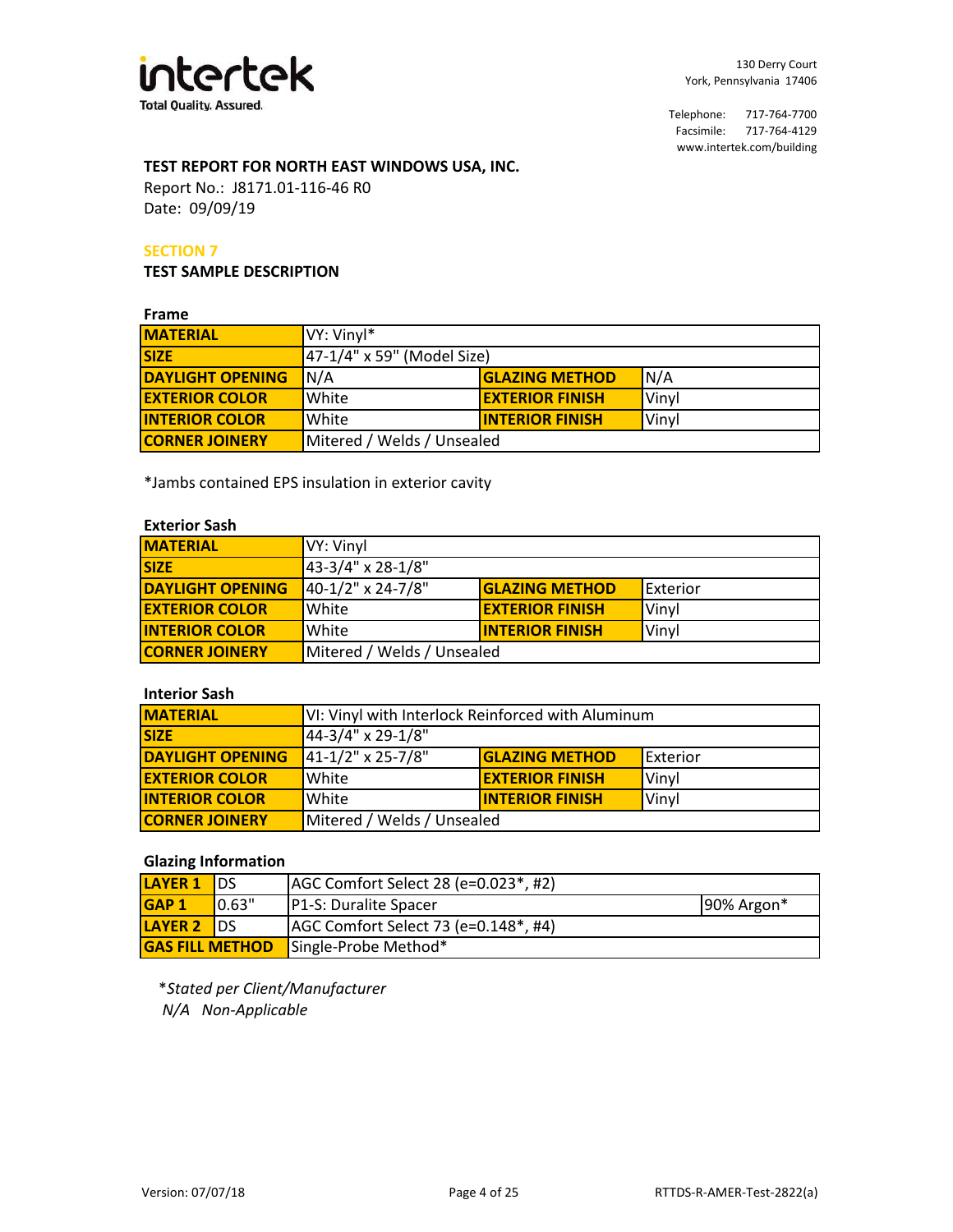

# **TEST REPORT FOR NORTH EAST WINDOWS USA, INC.**

Date: 09/09/19 Report No.: J8171.01-116-46 R0

## **SECTION 7**

**TEST SAMPLE DESCRIPTION**

#### **Frame**

| .                       |                                                 |                              |  |  |  |
|-------------------------|-------------------------------------------------|------------------------------|--|--|--|
| <b>MATERIAL</b>         | VY: Vinyl*                                      |                              |  |  |  |
| <b>SIZE</b>             | 47-1/4" x 59" (Model Size)                      |                              |  |  |  |
| <b>DAYLIGHT OPENING</b> | N/A                                             | N/A<br><b>GLAZING METHOD</b> |  |  |  |
| <b>EXTERIOR COLOR</b>   | <b>EXTERIOR FINISH</b><br><b>White</b><br>Vinvl |                              |  |  |  |
| <b>INTERIOR COLOR</b>   | <b>INTERIOR FINISH</b><br>White<br>Vinvl        |                              |  |  |  |
| <b>CORNER JOINERY</b>   | Mitered / Welds / Unsealed                      |                              |  |  |  |

\*Jambs contained EPS insulation in exterior cavity

#### **Exterior Sash**

| <b>IMATERIAL</b>        | VY: Vinyl                                                     |  |  |  |  |
|-------------------------|---------------------------------------------------------------|--|--|--|--|
| <b>SIZE</b>             | 43-3/4" x 28-1/8"                                             |  |  |  |  |
| <b>DAYLIGHT OPENING</b> | 40-1/2" x 24-7/8"<br><b>GLAZING METHOD</b><br><b>Exterior</b> |  |  |  |  |
| <b>EXTERIOR COLOR</b>   | White<br><b>EXTERIOR FINISH</b><br>Vinyl                      |  |  |  |  |
| <b>INTERIOR COLOR</b>   | White<br><b>INTERIOR FINISH</b><br>Vinyl                      |  |  |  |  |
| <b>CORNER JOINERY</b>   | Mitered / Welds / Unsealed                                    |  |  |  |  |

# **Interior Sash**

| <b>MATERIAL</b>         | VI: Vinyl with Interlock Reinforced with Aluminum             |  |  |  |  |
|-------------------------|---------------------------------------------------------------|--|--|--|--|
| <b>SIZE</b>             | 44-3/4" x 29-1/8"                                             |  |  |  |  |
| <b>DAYLIGHT OPENING</b> | 41-1/2" x 25-7/8"<br><b>GLAZING METHOD</b><br><b>Exterior</b> |  |  |  |  |
| <b>EXTERIOR COLOR</b>   | <b>EXTERIOR FINISH</b><br>White<br>Vinyl                      |  |  |  |  |
| <b>INTERIOR COLOR</b>   | <b>INTERIOR FINISH</b><br>White<br>Vinyl                      |  |  |  |  |
| <b>CORNER JOINERY</b>   | Mitered / Welds / Unsealed                                    |  |  |  |  |

## **Glazing Information**

| <b>LAYER 1</b>         | IDS        | AGC Comfort Select 28 (e=0.023*, #2) |                |
|------------------------|------------|--------------------------------------|----------------|
| <b>GAP1</b>            | 0.63"      | <b>P1-S: Duralite Spacer</b>         | $190\%$ Argon* |
| <b>LAYER 2</b>         | <b>IDS</b> | AGC Comfort Select 73 (e=0.148*, #4) |                |
| <b>GAS FILL METHOD</b> |            | Single-Probe Method*                 |                |

\**Stated per Client/Manufacturer N/A Non-Applicable*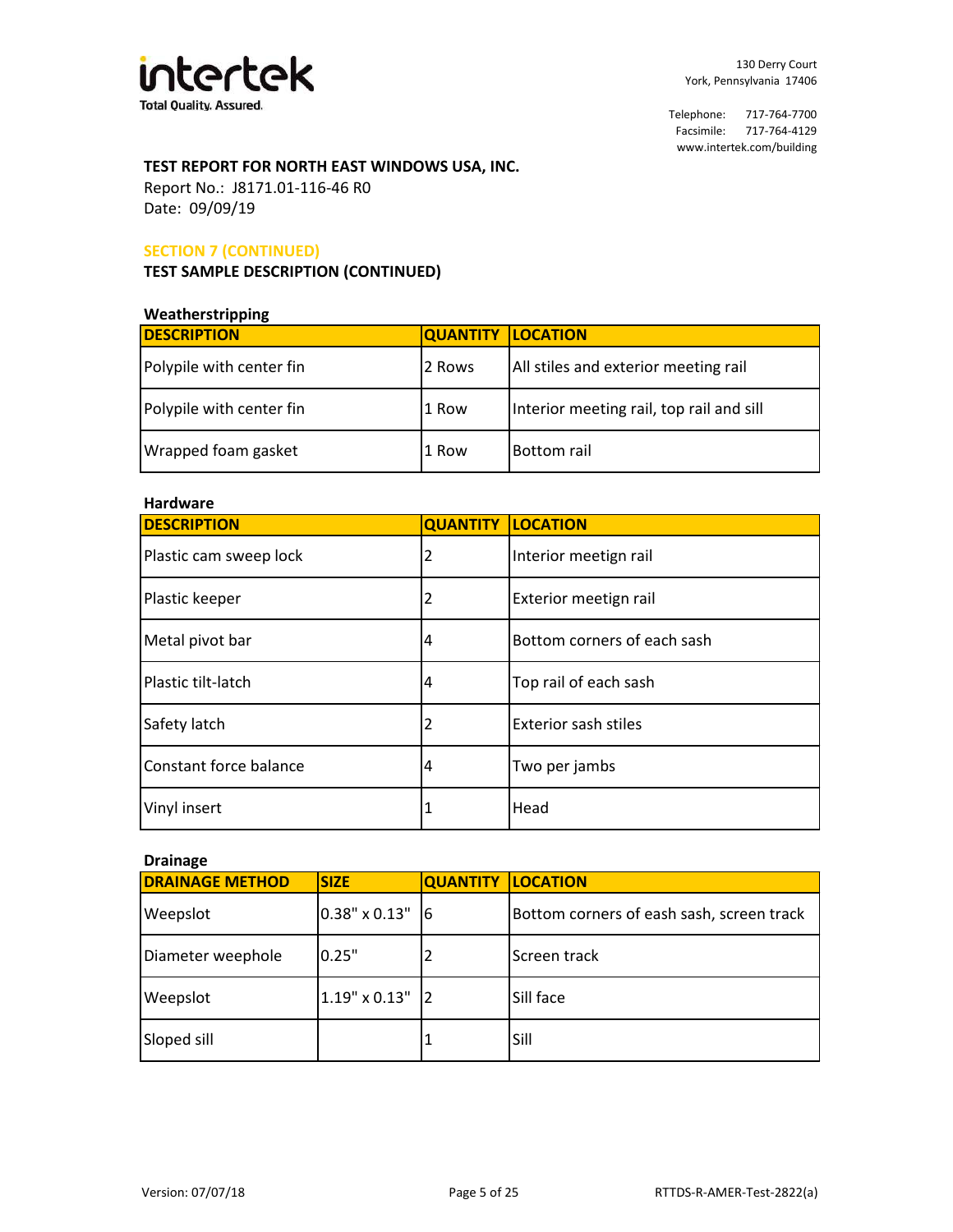

# **TEST REPORT FOR NORTH EAST WINDOWS USA, INC.**

Date: 09/09/19 Report No.: J8171.01-116-46 R0

# **SECTION 7 (CONTINUED)**

## **TEST SAMPLE DESCRIPTION (CONTINUED)**

#### **Weatherstripping**

| <b>DESCRIPTION</b>       | <b>QUANTITY LOCATION</b> |                                          |
|--------------------------|--------------------------|------------------------------------------|
| Polypile with center fin | 2 Rows                   | All stiles and exterior meeting rail     |
| Polypile with center fin | l 1 Row                  | Interior meeting rail, top rail and sill |
| Wrapped foam gasket      | 1 Row                    | <b>Bottom rail</b>                       |

# **Hardware**

| 11 a I uwa I c         |                          |                             |  |
|------------------------|--------------------------|-----------------------------|--|
| <b>DESCRIPTION</b>     | <b>QUANTITY LOCATION</b> |                             |  |
| Plastic cam sweep lock | $\overline{2}$           | Interior meetign rail       |  |
| Plastic keeper         | 2                        | Exterior meetign rail       |  |
| Metal pivot bar<br>4   |                          | Bottom corners of each sash |  |
| Plastic tilt-latch     | 4                        | Top rail of each sash       |  |
| Safety latch           | 2                        | <b>Exterior sash stiles</b> |  |
| Constant force balance | $\overline{4}$           | Two per jambs               |  |
| Vinyl insert           | 1                        | Head                        |  |

# **Drainage**

| <b>DRAINAGE METHOD</b> | <b>SIZE</b>          | <b>QUANTITY</b> | <b>ILOCATION</b>                          |
|------------------------|----------------------|-----------------|-------------------------------------------|
| Weepslot               | 0.38" x 0.13"        | 16              | Bottom corners of eash sash, screen track |
| Diameter weephole      | 0.25"                |                 | Screen track                              |
| Weepslot               | $1.19" \times 0.13"$ | 12              | Sill face                                 |
| Sloped sill            |                      |                 | Sill                                      |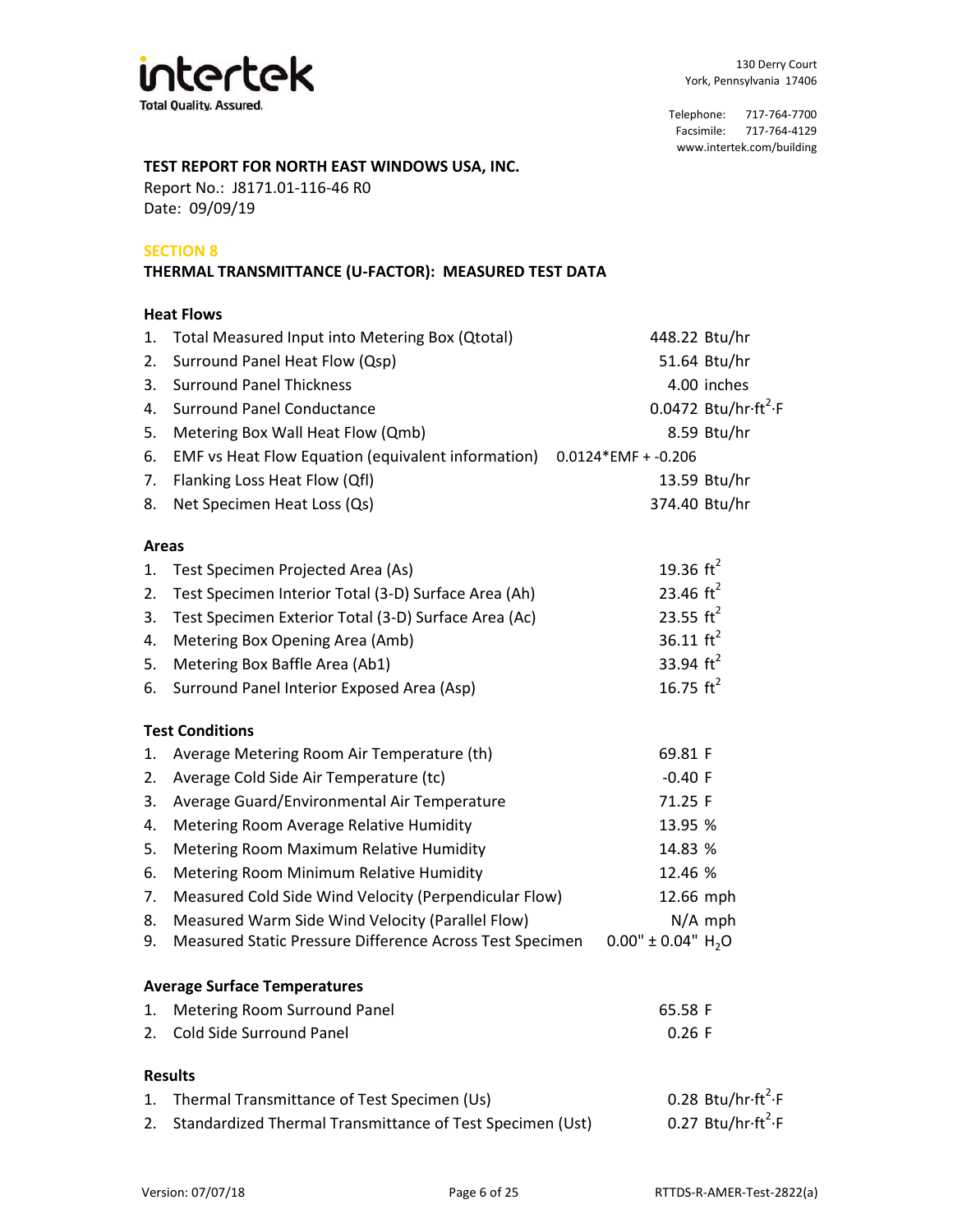

# **TEST REPORT FOR NORTH EAST WINDOWS USA, INC.**

Date: 09/09/19 Report No.: J8171.01-116-46 R0

# **SECTION 8**

# **THERMAL TRANSMITTANCE (U-FACTOR): MEASURED TEST DATA**

### **Heat Flows**

| 1.           | Total Measured Input into Metering Box (Qtotal)           | 448.22 Btu/hr            |                                               |
|--------------|-----------------------------------------------------------|--------------------------|-----------------------------------------------|
| 2.           | Surround Panel Heat Flow (Qsp)                            |                          | 51.64 Btu/hr                                  |
| 3.           | <b>Surround Panel Thickness</b>                           |                          | 4.00 inches                                   |
| 4.           | <b>Surround Panel Conductance</b>                         |                          | 0.0472 Btu/hr $ft^2$ F                        |
| 5.           | Metering Box Wall Heat Flow (Qmb)                         |                          | 8.59 Btu/hr                                   |
| 6.           | EMF vs Heat Flow Equation (equivalent information)        | $0.0124*EMF + -0.206$    |                                               |
| 7.           | Flanking Loss Heat Flow (Qfl)                             |                          | 13.59 Btu/hr                                  |
| 8.           | Net Specimen Heat Loss (Qs)                               | 374.40 Btu/hr            |                                               |
| <b>Areas</b> |                                                           |                          |                                               |
| 1.           | Test Specimen Projected Area (As)                         | 19.36 $\text{ft}^2$      |                                               |
| 2.           | Test Specimen Interior Total (3-D) Surface Area (Ah)      | 23.46 $ft^2$             |                                               |
| 3.           | Test Specimen Exterior Total (3-D) Surface Area (Ac)      | 23.55 $ft^2$             |                                               |
| 4.           | Metering Box Opening Area (Amb)                           | 36.11 $\text{ft}^2$      |                                               |
| 5.           | Metering Box Baffle Area (Ab1)                            | 33.94 $ft^2$             |                                               |
| 6.           | Surround Panel Interior Exposed Area (Asp)                | 16.75 $ft^2$             |                                               |
|              | <b>Test Conditions</b>                                    |                          |                                               |
| 1.           | Average Metering Room Air Temperature (th)                | 69.81 F                  |                                               |
| 2.           | Average Cold Side Air Temperature (tc)                    | $-0.40$ F                |                                               |
| 3.           | Average Guard/Environmental Air Temperature               | 71.25 F                  |                                               |
| 4.           | Metering Room Average Relative Humidity                   | 13.95 %                  |                                               |
| 5.           | Metering Room Maximum Relative Humidity                   | 14.83 %                  |                                               |
| 6.           | Metering Room Minimum Relative Humidity                   | 12.46 %                  |                                               |
| 7.           | Measured Cold Side Wind Velocity (Perpendicular Flow)     | 12.66 mph                |                                               |
| 8.           | Measured Warm Side Wind Velocity (Parallel Flow)          |                          | $N/A$ mph                                     |
| 9.           | Measured Static Pressure Difference Across Test Specimen  | $0.00'' \pm 0.04'' H_2O$ |                                               |
|              | <b>Average Surface Temperatures</b>                       |                          |                                               |
| 1.           | Metering Room Surround Panel                              | 65.58 F                  |                                               |
| 2.           | Cold Side Surround Panel                                  | $0.26$ F                 |                                               |
|              | <b>Results</b>                                            |                          |                                               |
| 1.           | Thermal Transmittance of Test Specimen (Us)               |                          | 0.28 Btu/hr $\cdot$ ft <sup>2</sup> $\cdot$ F |
| 2.           | Standardized Thermal Transmittance of Test Specimen (Ust) |                          | 0.27 Btu/hr $\cdot$ ft <sup>2</sup> $\cdot$ F |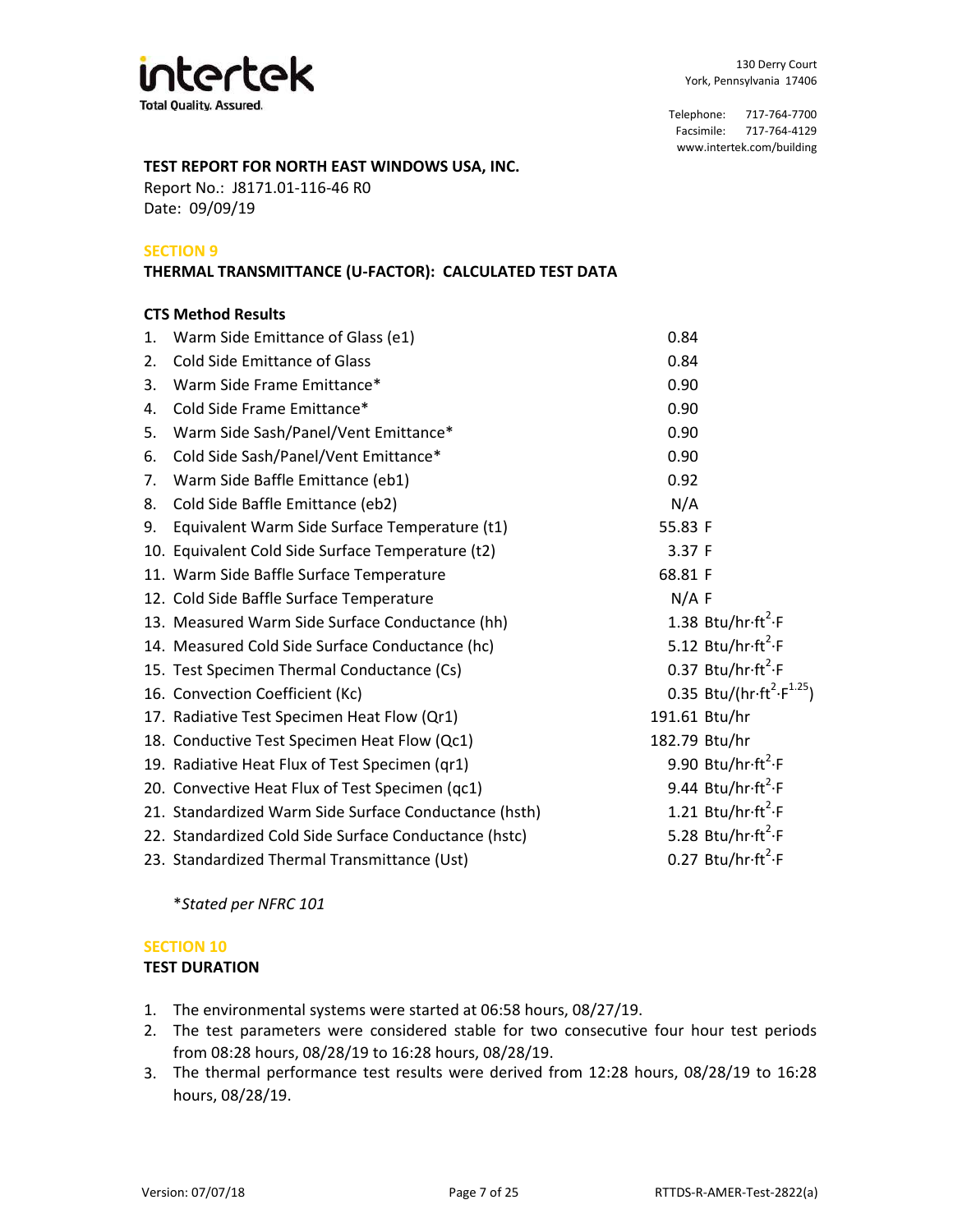

# **TEST REPORT FOR NORTH EAST WINDOWS USA, INC.**

Date: 09/09/19 Report No.: J8171.01-116-46 R0

# **SECTION 9**

## **THERMAL TRANSMITTANCE (U-FACTOR): CALCULATED TEST DATA**

## **CTS Method Results**

| 1. | Warm Side Emittance of Glass (e1)                     | 0.84                                                             |
|----|-------------------------------------------------------|------------------------------------------------------------------|
| 2. | <b>Cold Side Emittance of Glass</b>                   | 0.84                                                             |
| 3. | Warm Side Frame Emittance*                            | 0.90                                                             |
| 4. | Cold Side Frame Emittance*                            | 0.90                                                             |
| 5. | Warm Side Sash/Panel/Vent Emittance*                  | 0.90                                                             |
| 6. | Cold Side Sash/Panel/Vent Emittance*                  | 0.90                                                             |
| 7. | Warm Side Baffle Emittance (eb1)                      | 0.92                                                             |
| 8. | Cold Side Baffle Emittance (eb2)                      | N/A                                                              |
| 9. | Equivalent Warm Side Surface Temperature (t1)         | 55.83 F                                                          |
|    | 10. Equivalent Cold Side Surface Temperature (t2)     | 3.37 F                                                           |
|    | 11. Warm Side Baffle Surface Temperature              | 68.81 F                                                          |
|    | 12. Cold Side Baffle Surface Temperature              | N/A F                                                            |
|    | 13. Measured Warm Side Surface Conductance (hh)       | 1.38 Btu/hr $\cdot$ ft <sup>2</sup> $\cdot$ F                    |
|    | 14. Measured Cold Side Surface Conductance (hc)       | 5.12 Btu/hr $ft^2$ -F                                            |
|    | 15. Test Specimen Thermal Conductance (Cs)            | 0.37 Btu/hr $\cdot$ ft <sup>2</sup> $\cdot$ F                    |
|    | 16. Convection Coefficient (Kc)                       | 0.35 Btu/(hr $\cdot$ ft <sup>2</sup> $\cdot$ F <sup>1.25</sup> ) |
|    | 17. Radiative Test Specimen Heat Flow (Qr1)           | 191.61 Btu/hr                                                    |
|    | 18. Conductive Test Specimen Heat Flow (Qc1)          | 182.79 Btu/hr                                                    |
|    | 19. Radiative Heat Flux of Test Specimen (qr1)        | 9.90 Btu/hr $\cdot$ ft <sup>2</sup> $\cdot$ F                    |
|    | 20. Convective Heat Flux of Test Specimen (qc1)       | 9.44 Btu/hr $\cdot$ ft <sup>2</sup> $\cdot$ F                    |
|    | 21. Standardized Warm Side Surface Conductance (hsth) | 1.21 Btu/hr $ft^2$ F                                             |
|    | 22. Standardized Cold Side Surface Conductance (hstc) | 5.28 Btu/hr $ft^2$ -F                                            |
|    | 23. Standardized Thermal Transmittance (Ust)          | 0.27 Btu/hr $\cdot$ ft <sup>2</sup> $\cdot$ F                    |

\**Stated per NFRC 101*

# **SECTION 10**

# **TEST DURATION**

- 1. The environmental systems were started at 06:58 hours, 08/27/19.
- 2. The test parameters were considered stable for two consecutive four hour test periods from 08:28 hours, 08/28/19 to 16:28 hours, 08/28/19.
- The thermal performance test results were derived from 12:28 hours, 08/28/19 to 16:28 3. hours, 08/28/19.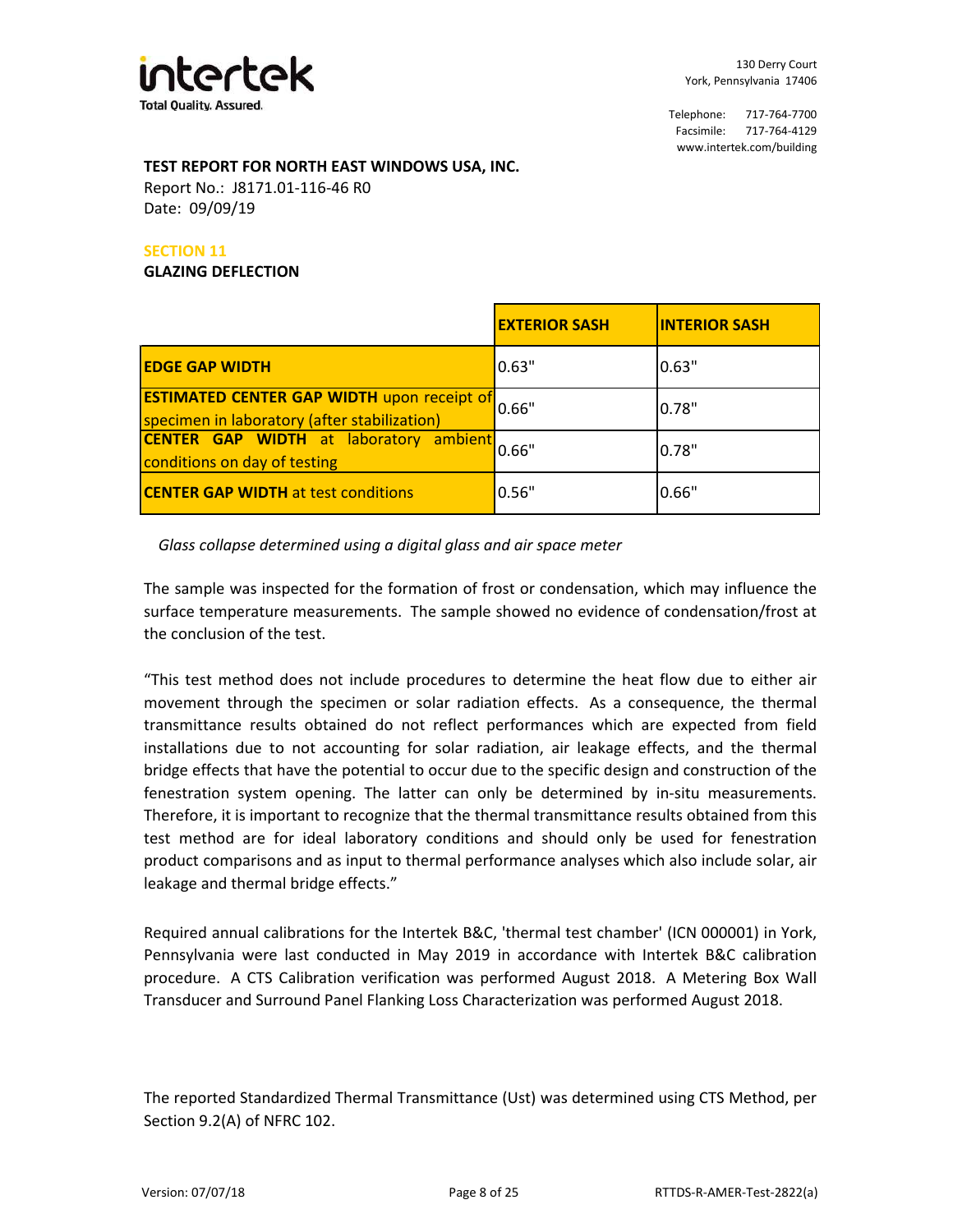

## **TEST REPORT FOR NORTH EAST WINDOWS USA, INC.**

Date: 09/09/19 Report No.: J8171.01-116-46 R0

# **SECTION 11**

#### **GLAZING DEFLECTION**

|                                                                                                   | <b>EXTERIOR SASH</b> | <b>INTERIOR SASH</b> |
|---------------------------------------------------------------------------------------------------|----------------------|----------------------|
| <b>IEDGE GAP WIDTH</b>                                                                            | 0.63"                | 0.63"                |
| <b>ESTIMATED CENTER GAP WIDTH upon receipt of</b><br>specimen in laboratory (after stabilization) | 0.66"                | 0.78"                |
| <b>CENTER GAP WIDTH</b> at laboratory ambient<br>conditions on day of testing                     | 0.66"                | 0.78"                |
| <b>CENTER GAP WIDTH at test conditions</b>                                                        | 0.56"                | 0.66"                |

# *Glass collapse determined using a digital glass and air space meter*

The sample was inspected for the formation of frost or condensation, which may influence the surface temperature measurements. The sample showed no evidence of condensation/frost at the conclusion of the test.

"This test method does not include procedures to determine the heat flow due to either air movement through the specimen or solar radiation effects. As a consequence, the thermal transmittance results obtained do not reflect performances which are expected from field installations due to not accounting for solar radiation, air leakage effects, and the thermal bridge effects that have the potential to occur due to the specific design and construction of the fenestration system opening. The latter can only be determined by in-situ measurements. Therefore, it is important to recognize that the thermal transmittance results obtained from this test method are for ideal laboratory conditions and should only be used for fenestration product comparisons and as input to thermal performance analyses which also include solar, air leakage and thermal bridge effects."

Required annual calibrations for the Intertek B&C, 'thermal test chamber' (ICN 000001) in York, Pennsylvania were last conducted in May 2019 in accordance with Intertek B&C calibration procedure. A CTS Calibration verification was performed August 2018. A Metering Box Wall Transducer and Surround Panel Flanking Loss Characterization was performed August 2018.

The reported Standardized Thermal Transmittance (Ust) was determined using CTS Method, per Section 9.2(A) of NFRC 102.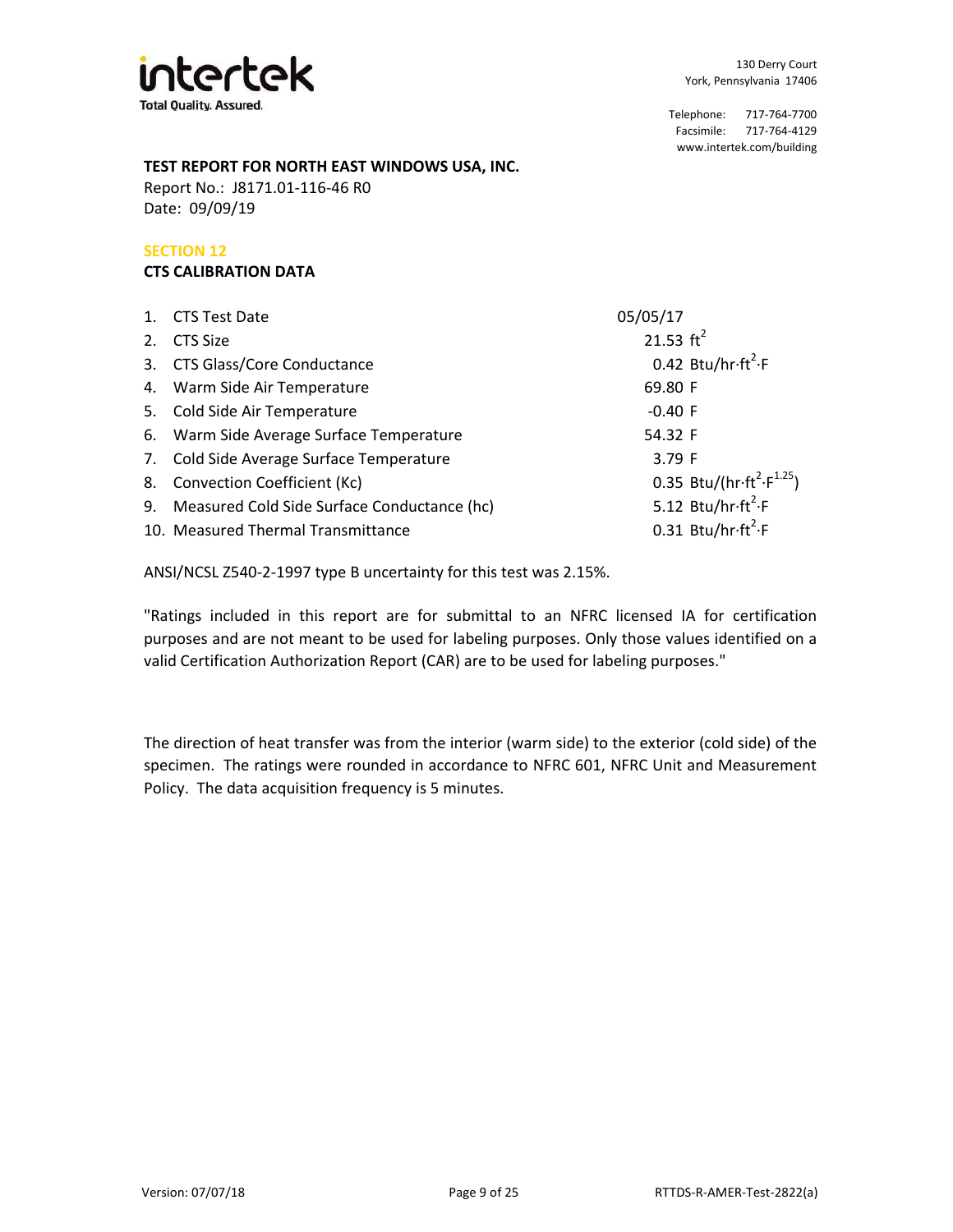

## **TEST REPORT FOR NORTH EAST WINDOWS USA, INC.**

Date: 09/09/19 Report No.: J8171.01-116-46 R0

# **SECTION 12**

# **CTS CALIBRATION DATA**

| 05/05/17                                                                                                                                                                                                                                                                                                                                               |
|--------------------------------------------------------------------------------------------------------------------------------------------------------------------------------------------------------------------------------------------------------------------------------------------------------------------------------------------------------|
| 21.53 $\text{ft}^2$                                                                                                                                                                                                                                                                                                                                    |
| 0.42 Btu/hr $\cdot$ ft <sup>2</sup> $\cdot$ F                                                                                                                                                                                                                                                                                                          |
| 69.80 F                                                                                                                                                                                                                                                                                                                                                |
| $-0.40$ F                                                                                                                                                                                                                                                                                                                                              |
| 54.32 F                                                                                                                                                                                                                                                                                                                                                |
| 3.79 F                                                                                                                                                                                                                                                                                                                                                 |
| 0.35 Btu/(hr $\cdot$ ft <sup>2</sup> $\cdot$ F <sup>1.25</sup> )                                                                                                                                                                                                                                                                                       |
| 5.12 Btu/hr $\cdot$ ft <sup>2</sup> $\cdot$ F                                                                                                                                                                                                                                                                                                          |
| 0.31 Btu/hr $\cdot$ ft <sup>2</sup> $\cdot$ F                                                                                                                                                                                                                                                                                                          |
| 1. CTS Test Date<br><b>CTS Size</b><br>3. CTS Glass/Core Conductance<br>4. Warm Side Air Temperature<br>5. Cold Side Air Temperature<br>6. Warm Side Average Surface Temperature<br>7. Cold Side Average Surface Temperature<br>8. Convection Coefficient (Kc)<br>9. Measured Cold Side Surface Conductance (hc)<br>10. Measured Thermal Transmittance |

ANSI/NCSL Z540-2-1997 type B uncertainty for this test was 2.15%.

"Ratings included in this report are for submittal to an NFRC licensed IA for certification purposes and are not meant to be used for labeling purposes. Only those values identified on a valid Certification Authorization Report (CAR) are to be used for labeling purposes."

The direction of heat transfer was from the interior (warm side) to the exterior (cold side) of the specimen. The ratings were rounded in accordance to NFRC 601, NFRC Unit and Measurement Policy. The data acquisition frequency is 5 minutes.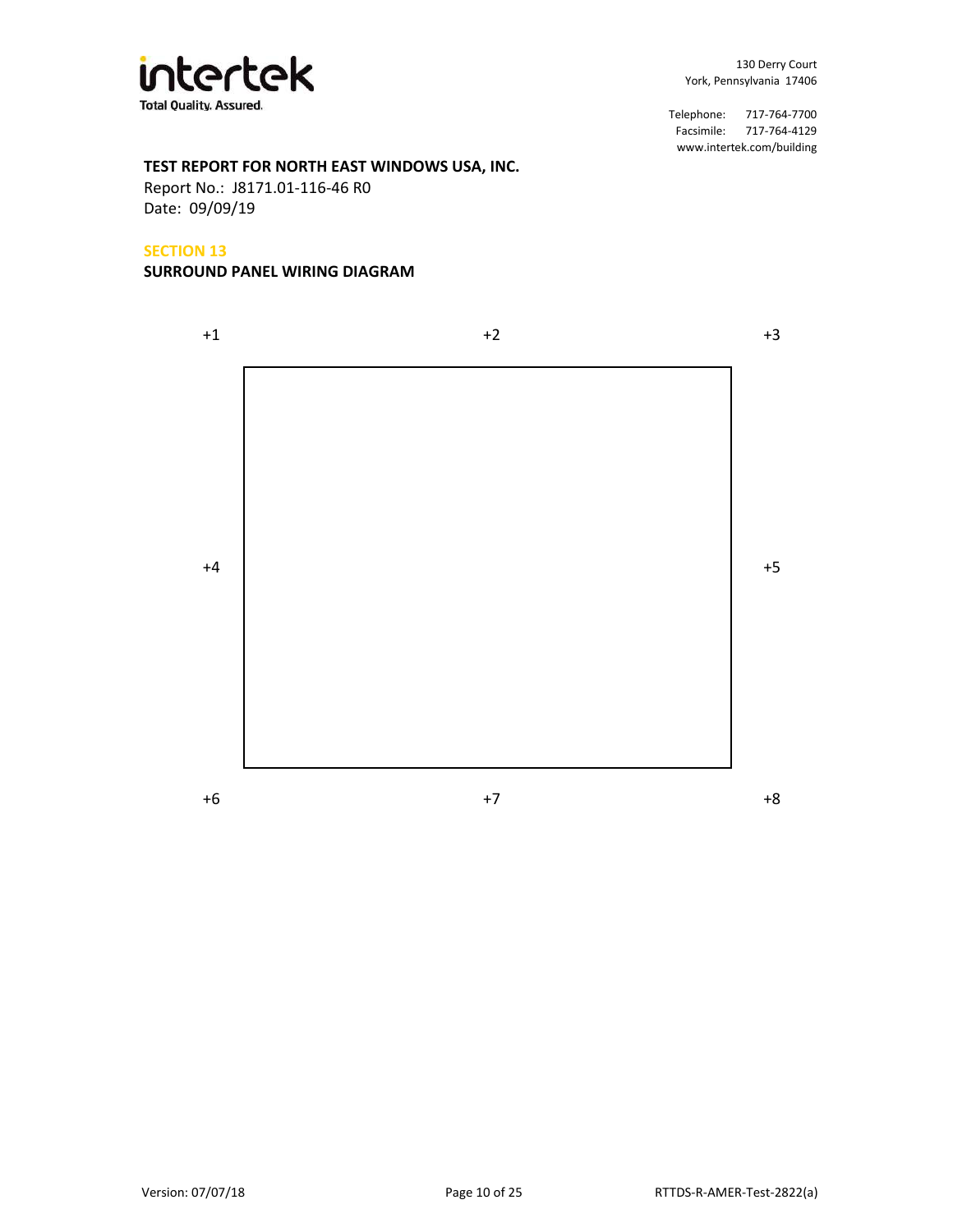

# **TEST REPORT FOR NORTH EAST WINDOWS USA, INC.**

Date: 09/09/19 Report No.: J8171.01-116-46 R0

#### **SECTION 13**

#### **SURROUND PANEL WIRING DIAGRAM**

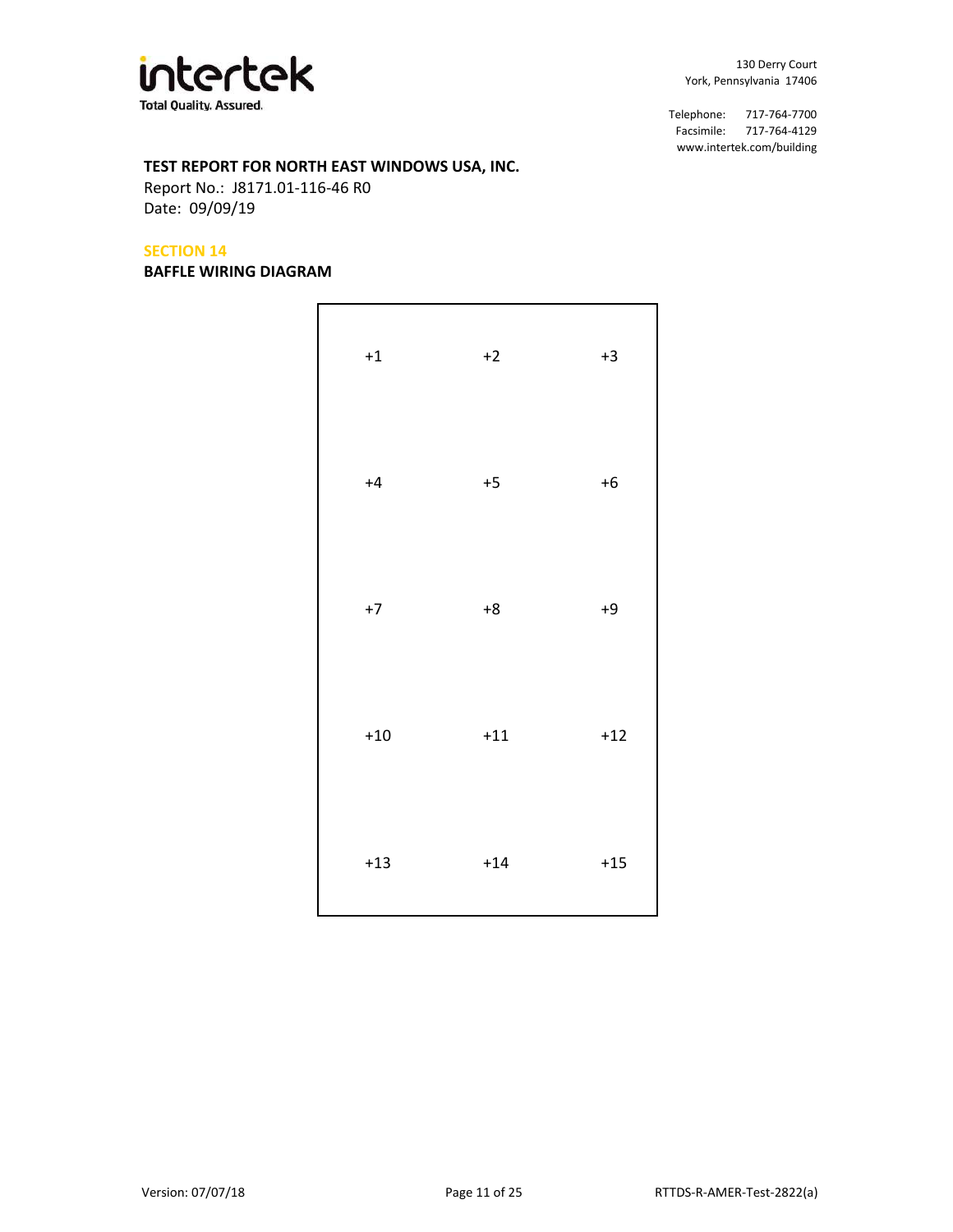

# **TEST REPORT FOR NORTH EAST WINDOWS USA, INC.**

Date: 09/09/19 Report No.: J8171.01-116-46 R0

## **SECTION 14**

#### **BAFFLE WIRING DIAGRAM**

| $^{\rm +1}$ | $+2$  | $+3$  |
|-------------|-------|-------|
| $+4$        | $+5$  | $+6$  |
| $+7$        | $+8$  | $+9$  |
| $+10\,$     | $+11$ | $+12$ |
| $+13$       | $+14$ | $+15$ |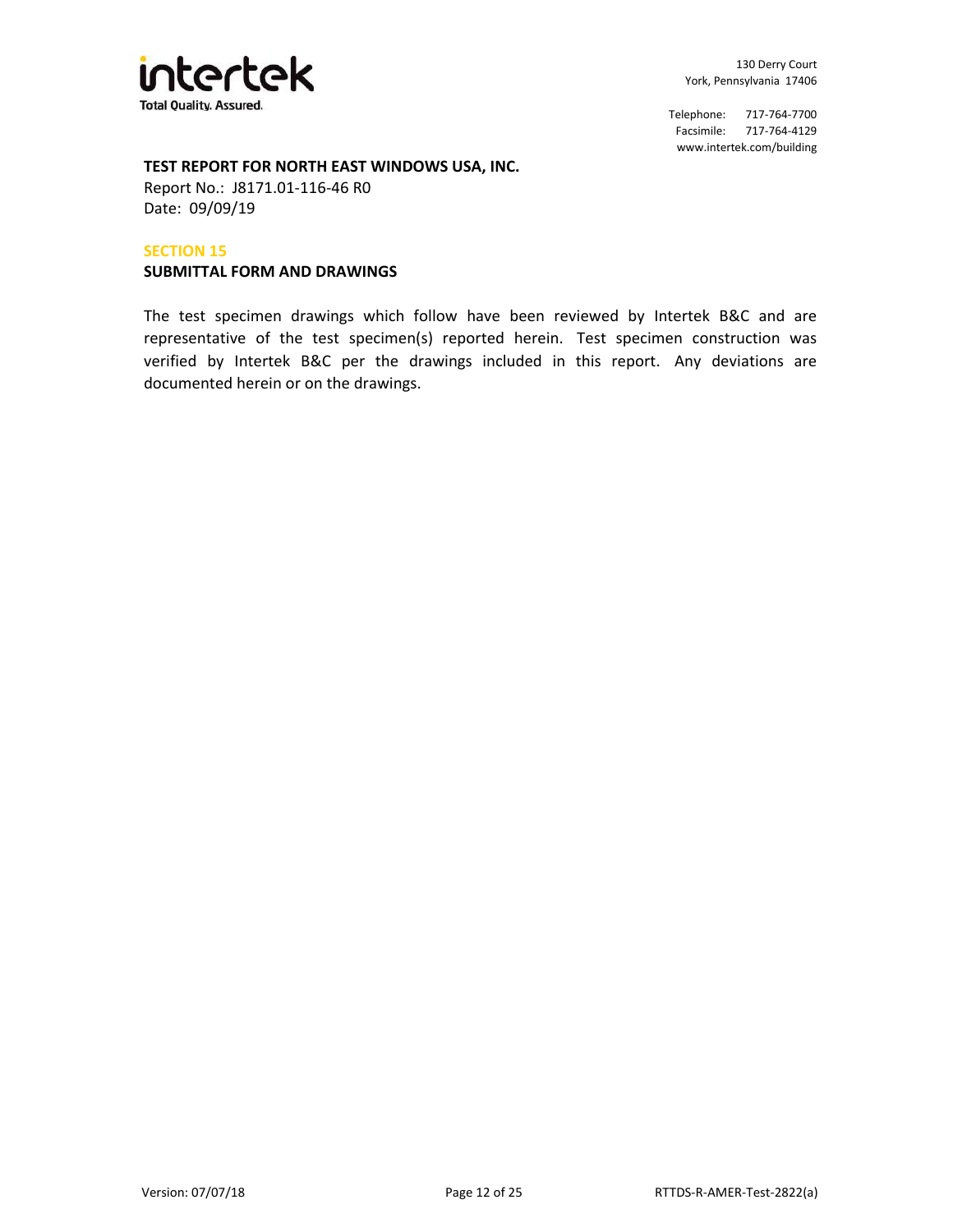

# **TEST REPORT FOR NORTH EAST WINDOWS USA, INC.**

Date: 09/09/19 Report No.: J8171.01-116-46 R0

#### **SECTION 15**

#### **SUBMITTAL FORM AND DRAWINGS**

The test specimen drawings which follow have been reviewed by Intertek B&C and are representative of the test specimen(s) reported herein. Test specimen construction was verified by Intertek B&C per the drawings included in this report. Any deviations are documented herein or on the drawings.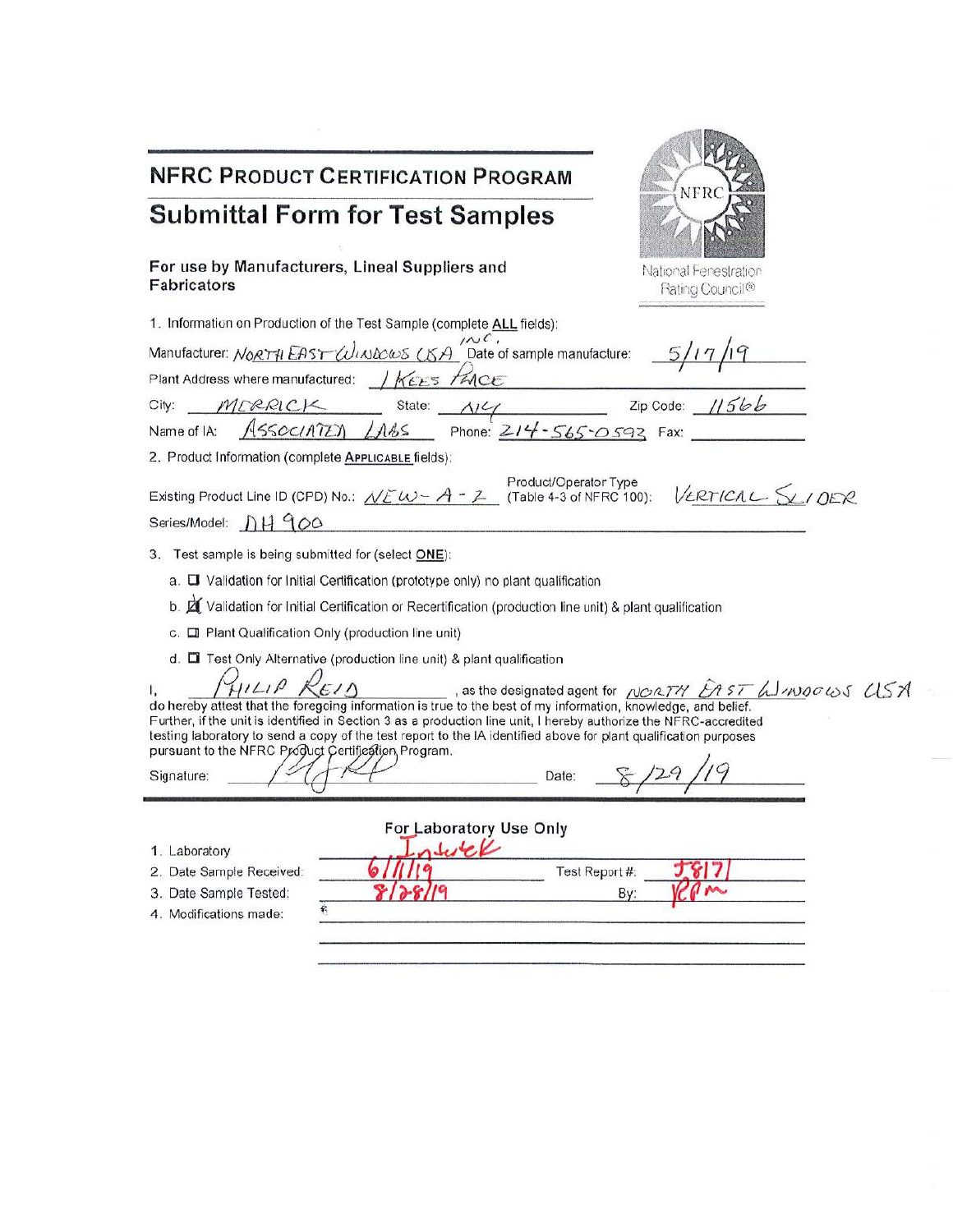| <b>NFRC PRODUCT CERTIFICATION PROGRAM</b><br><b>NFRC</b>                                                                                                                                                                                                                                                                                                                                                                                                                                                                                      |
|-----------------------------------------------------------------------------------------------------------------------------------------------------------------------------------------------------------------------------------------------------------------------------------------------------------------------------------------------------------------------------------------------------------------------------------------------------------------------------------------------------------------------------------------------|
| <b>Submittal Form for Test Samples</b>                                                                                                                                                                                                                                                                                                                                                                                                                                                                                                        |
| For use by Manufacturers, Lineal Suppliers and<br>National Fenestration<br>Fabricators<br>Rating Council®                                                                                                                                                                                                                                                                                                                                                                                                                                     |
| 1. Information on Production of the Test Sample (complete ALL fields):                                                                                                                                                                                                                                                                                                                                                                                                                                                                        |
| Manufacturer: NoRTH EAST WINDOWS (KA) Date of sample manufacture:<br>Plant Address where manufactured: / KEES FACE                                                                                                                                                                                                                                                                                                                                                                                                                            |
| State: $\frac{\lambda 1}{4}$ Zip Code: $\frac{11566}{400}$<br>MERRICK<br>City:<br>Phone: $214 - 565 - 0593$ Fax:<br>ASSOCIATED LABS<br>Name of IA:                                                                                                                                                                                                                                                                                                                                                                                            |
| 2. Product Information (complete APPLICABLE fields):<br>Product/Operator Type<br>Existing Product Line ID (CPD) No.: $\sqrt{E W - A} - Z$ (Table 4-3 of NFRC 100):<br>VERTICAL SUDER<br>Series/Model: DH 900                                                                                                                                                                                                                                                                                                                                  |
| 3. Test sample is being submitted for (select ONE):                                                                                                                                                                                                                                                                                                                                                                                                                                                                                           |
| a. U Validation for Initial Certification (prototype only) no plant qualification                                                                                                                                                                                                                                                                                                                                                                                                                                                             |
| b. <b>Z</b> Validation for Initial Certification or Recertification (production line unit) & plant qualification                                                                                                                                                                                                                                                                                                                                                                                                                              |
| c. I Plant Qualification Only (production line unit)                                                                                                                                                                                                                                                                                                                                                                                                                                                                                          |
| d. <sup>1</sup> Test Only Alternative (production line unit) & plant qualification                                                                                                                                                                                                                                                                                                                                                                                                                                                            |
| HILIP REIN<br>$\sim$ , as the designated agent for NORTH $\hat{E}$ 15T $\hat{\mu}$ NOOWS $\hat{U}$ SA<br>do hereby attest that the foregoing information is true to the best of my information, knowledge, and belief.<br>Further, if the unit is identified in Section 3 as a production line unit, I hereby authorize the NFRC-accredited<br>testing laboratory to send a copy of the test report to the IA identified above for plant qualification purposes<br>pursuant to the NFRC Product Certifiestion Program.<br>Date:<br>Signature: |
| For Laboratory Use Only<br>1. Laboratory<br>Test Report #:<br>J817<br>2. Date Sample Received:<br>3. Date Sample Tested:<br>By:<br>蕲<br>4. Modifications made:                                                                                                                                                                                                                                                                                                                                                                                |
|                                                                                                                                                                                                                                                                                                                                                                                                                                                                                                                                               |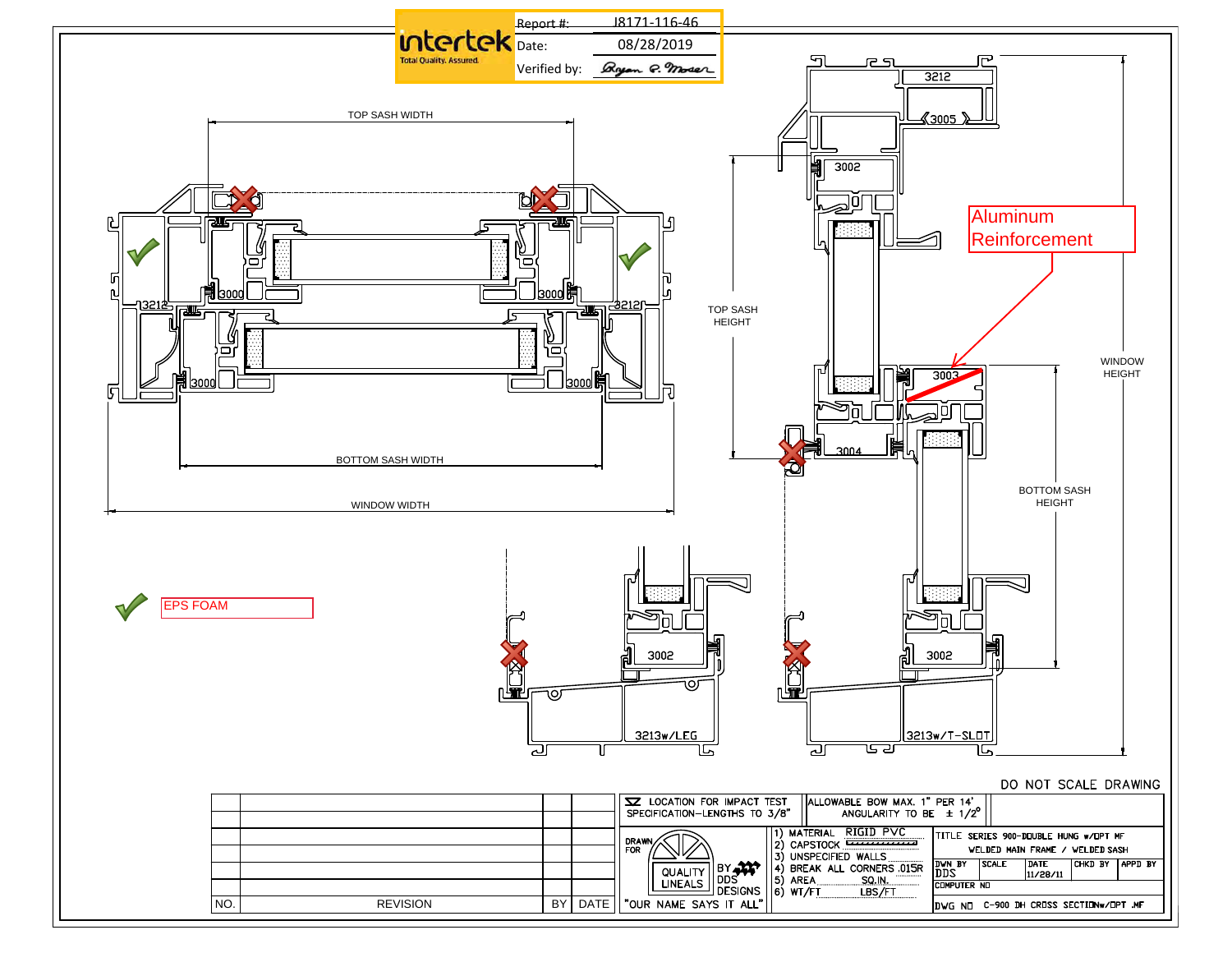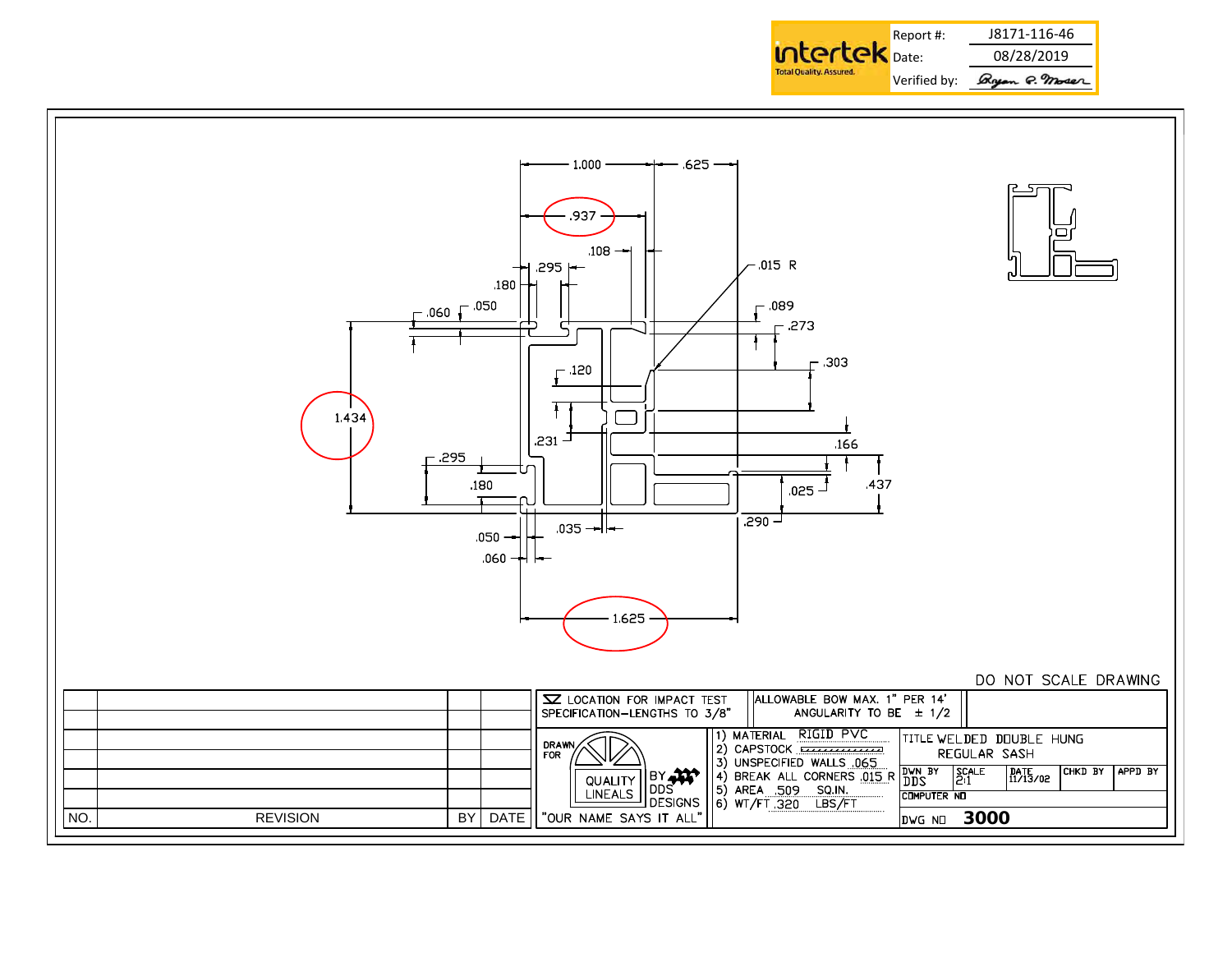

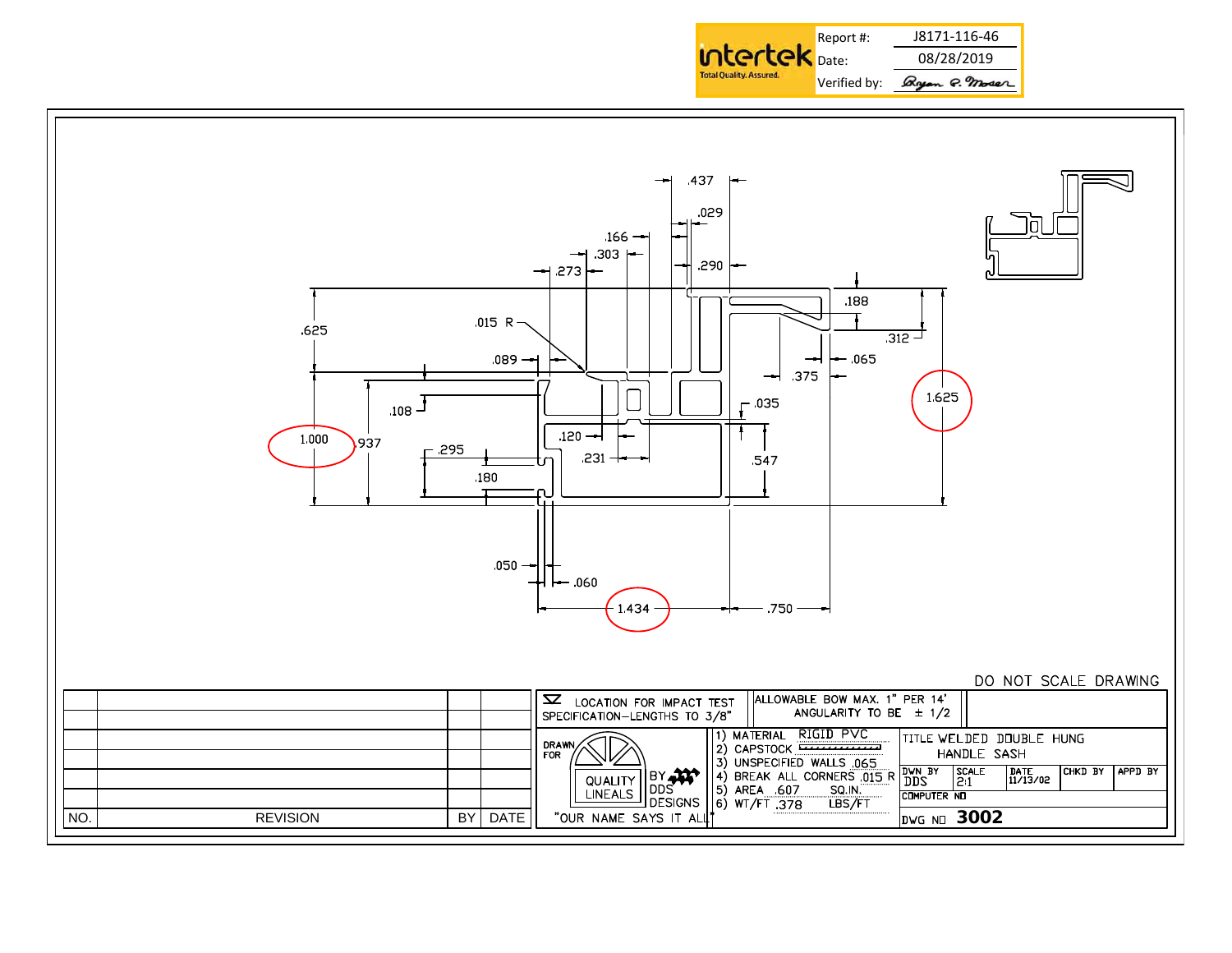

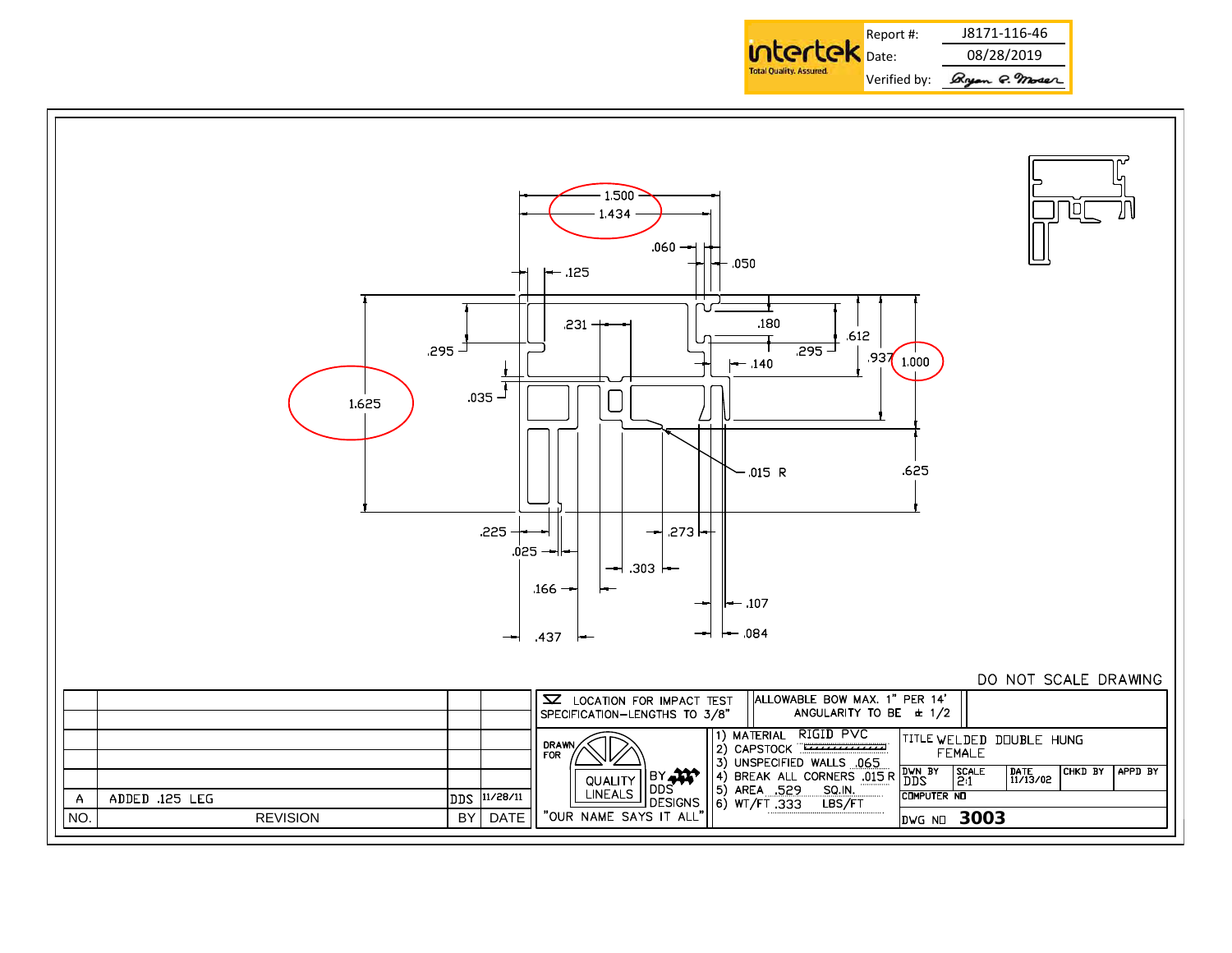

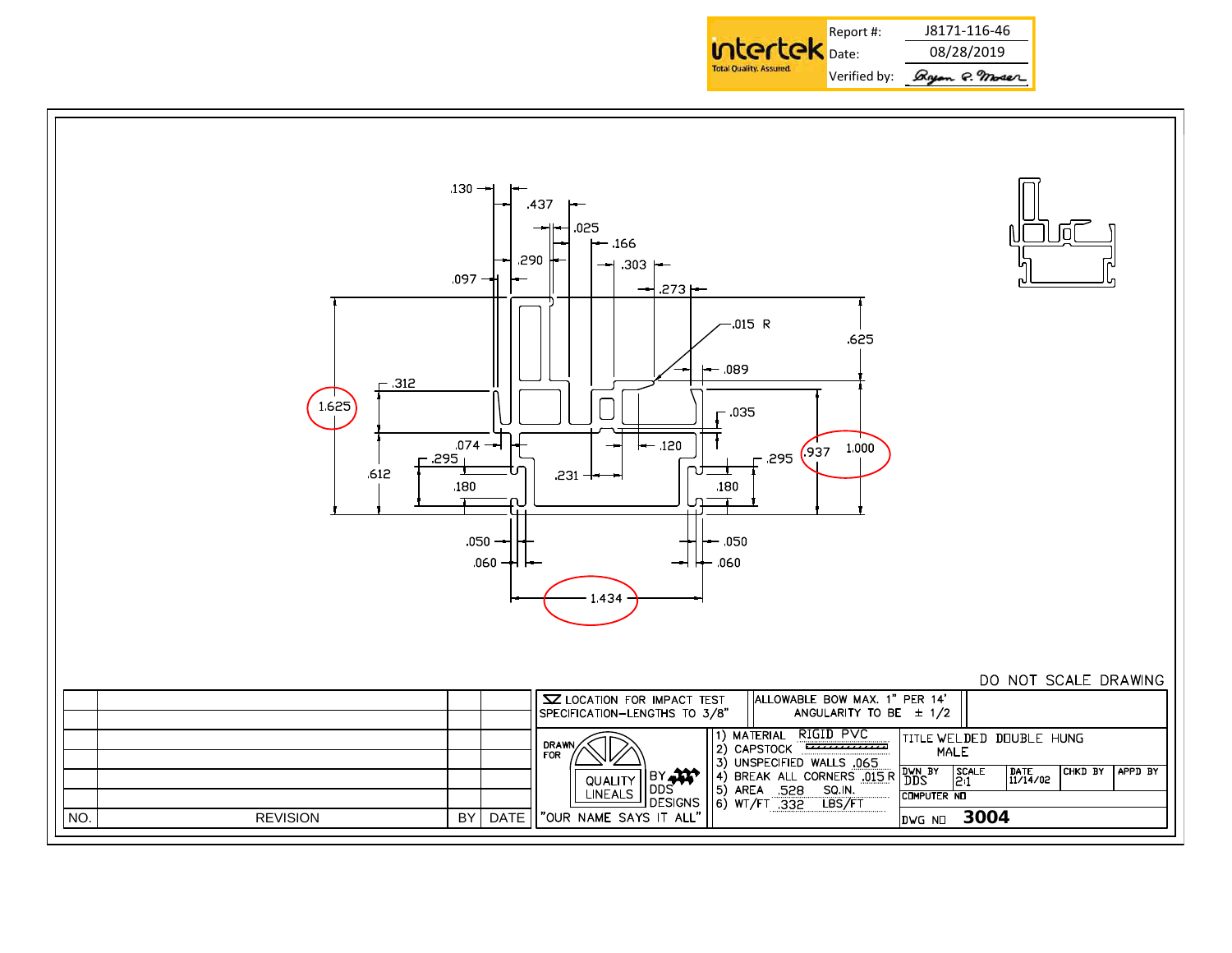

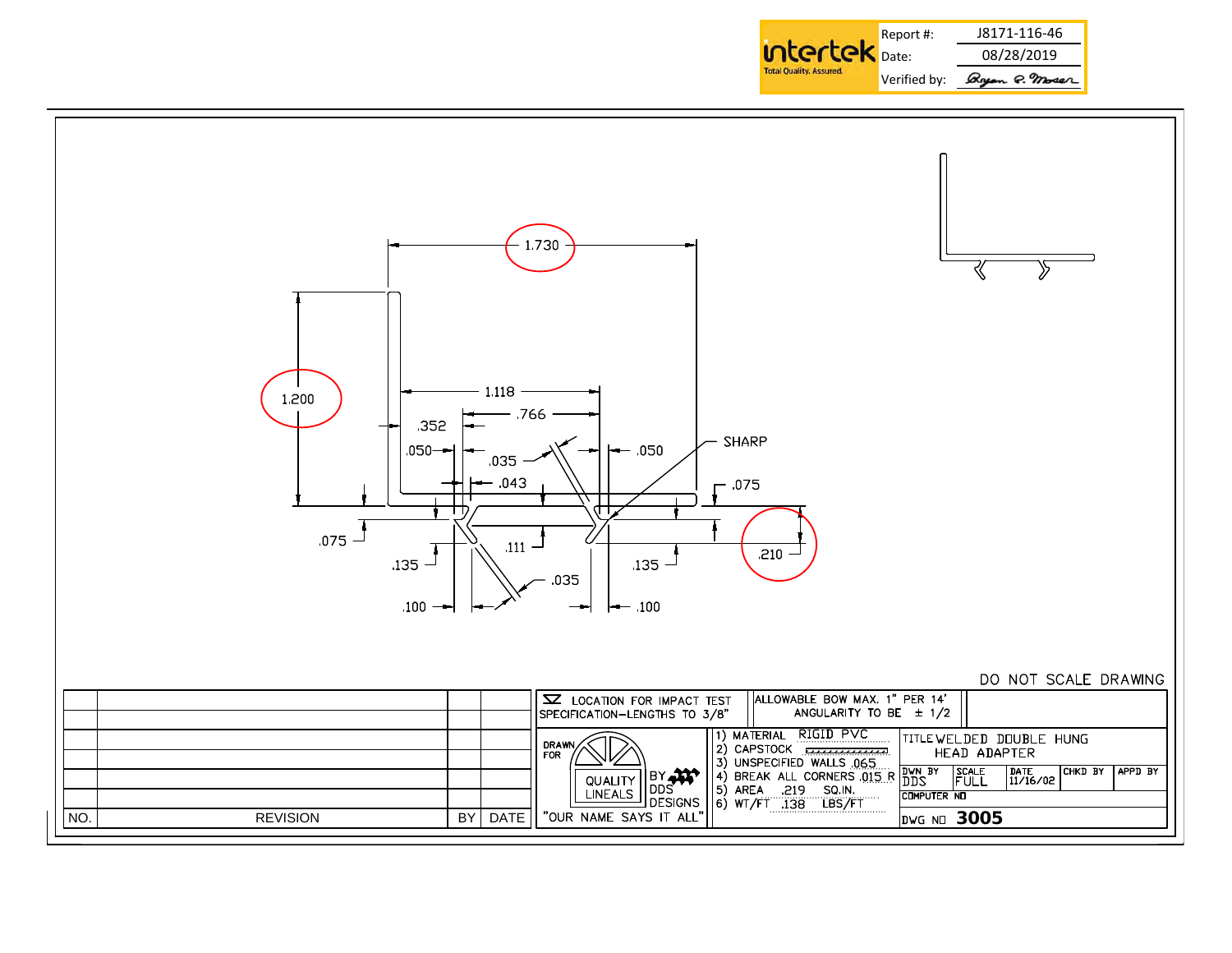

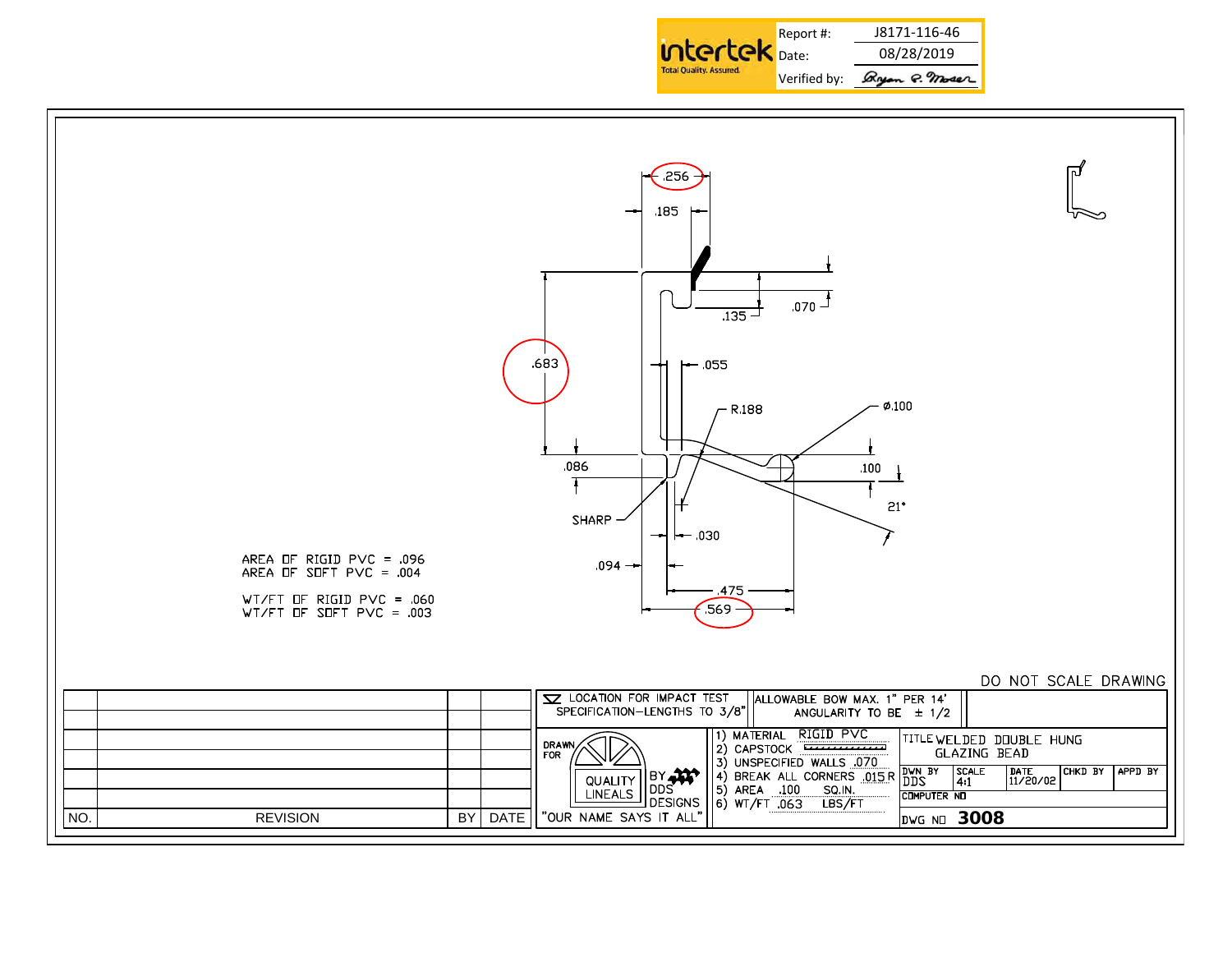

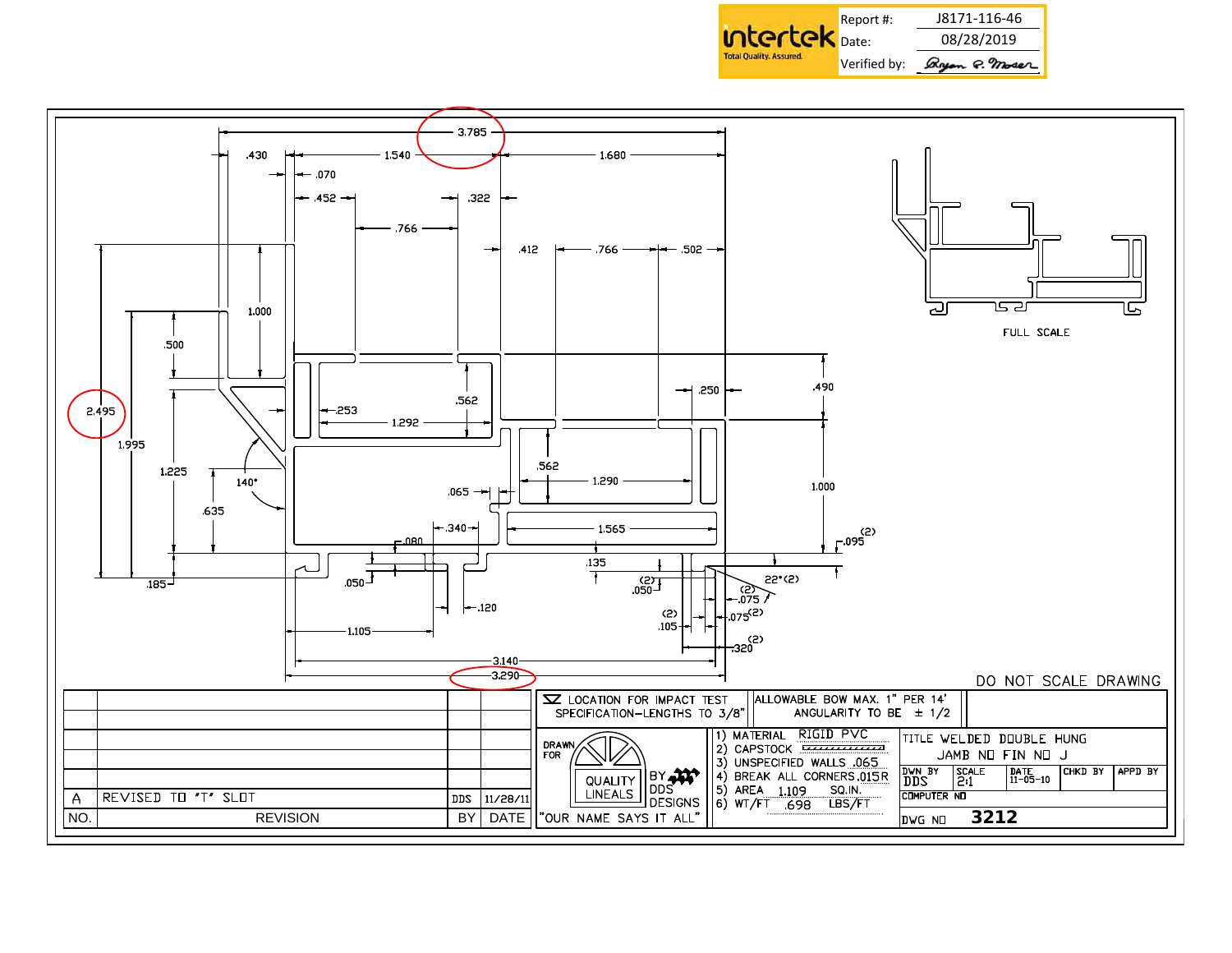

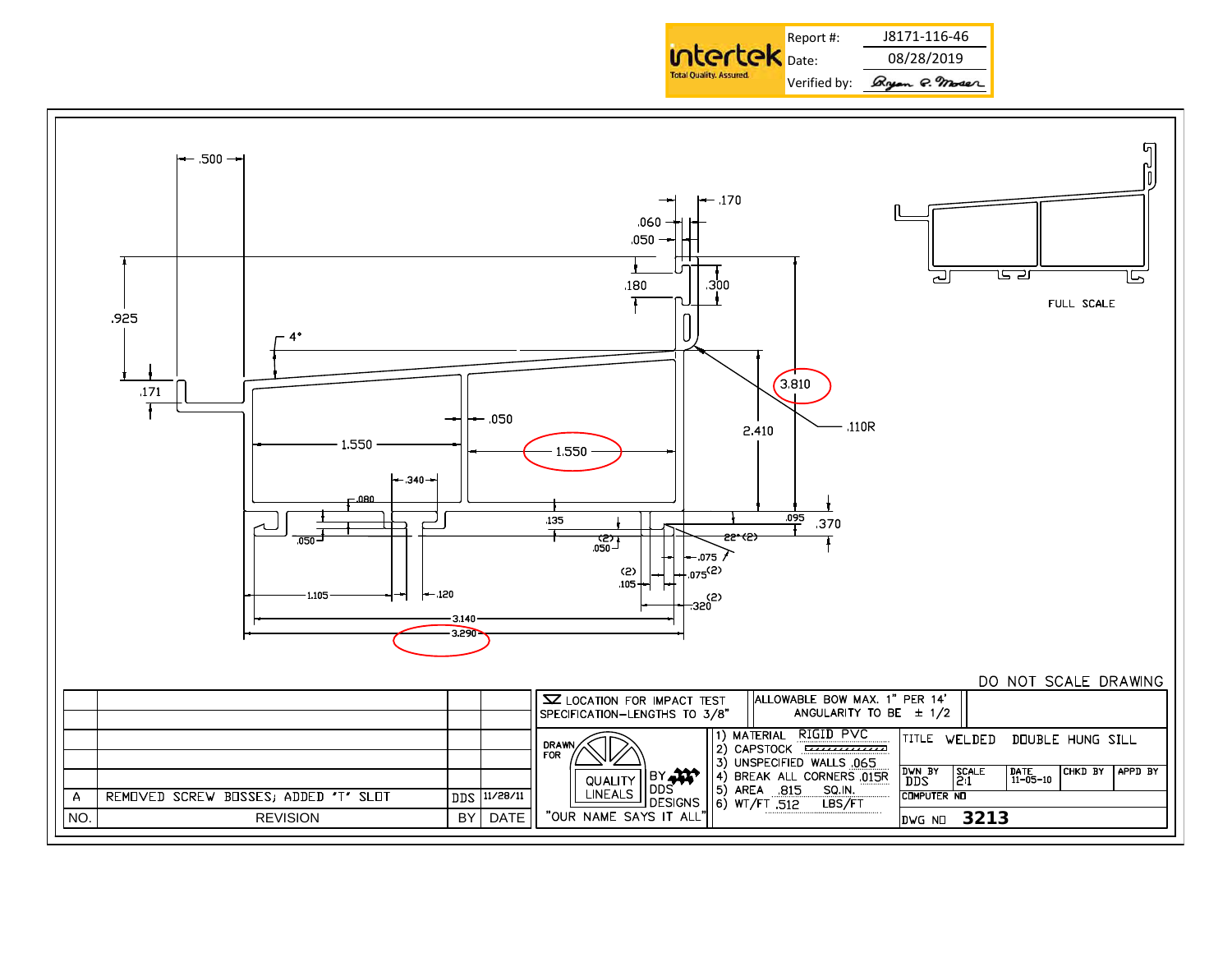

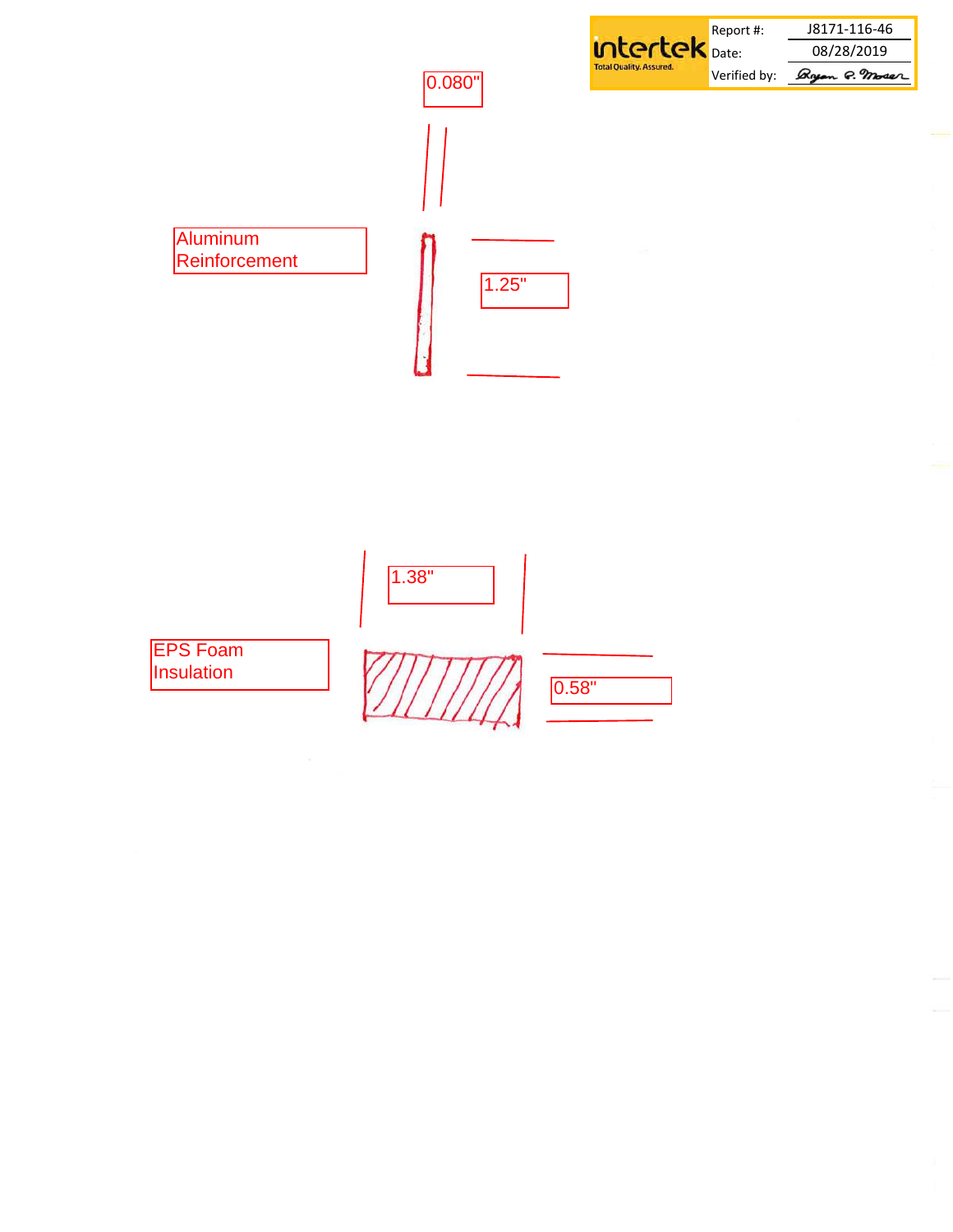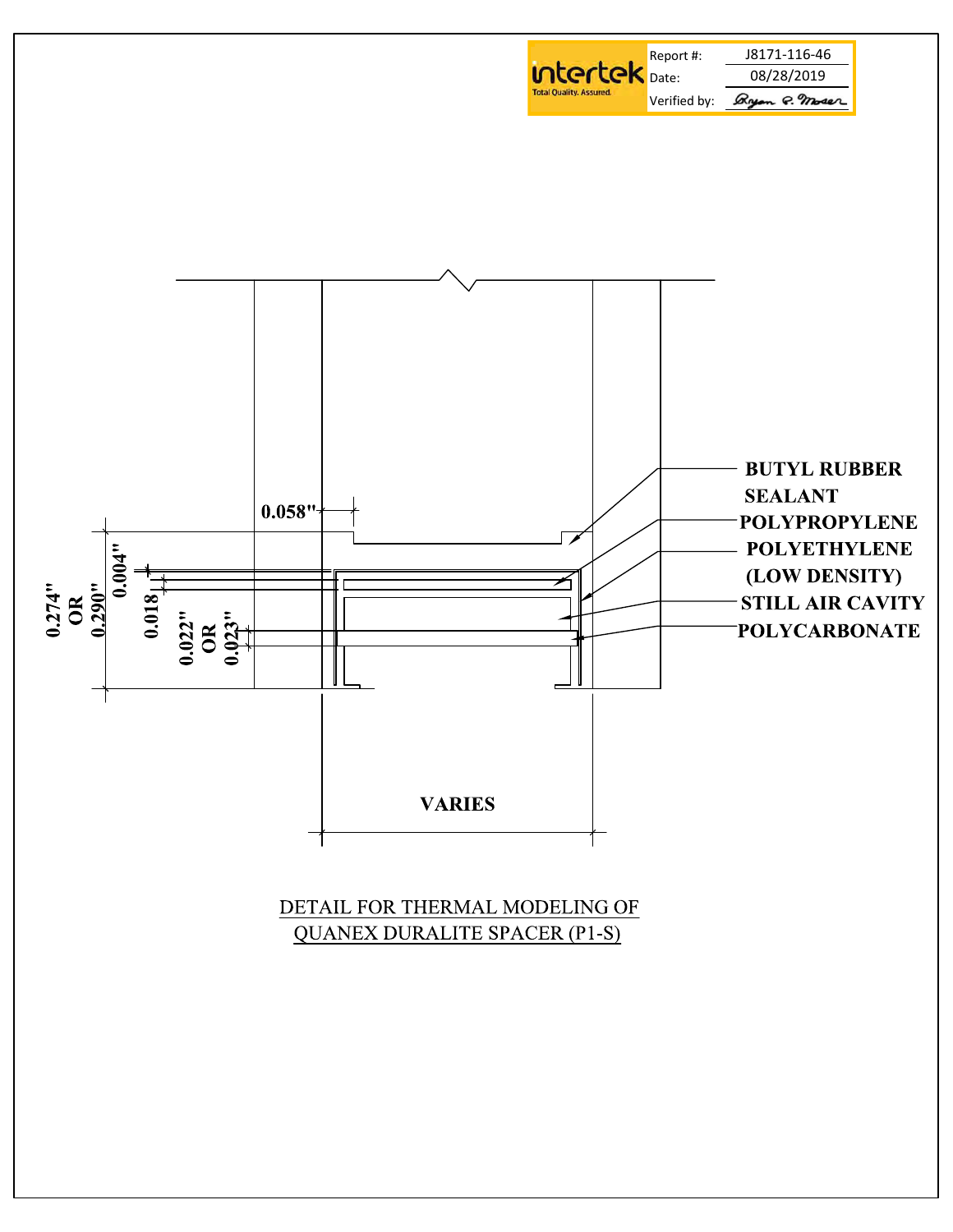